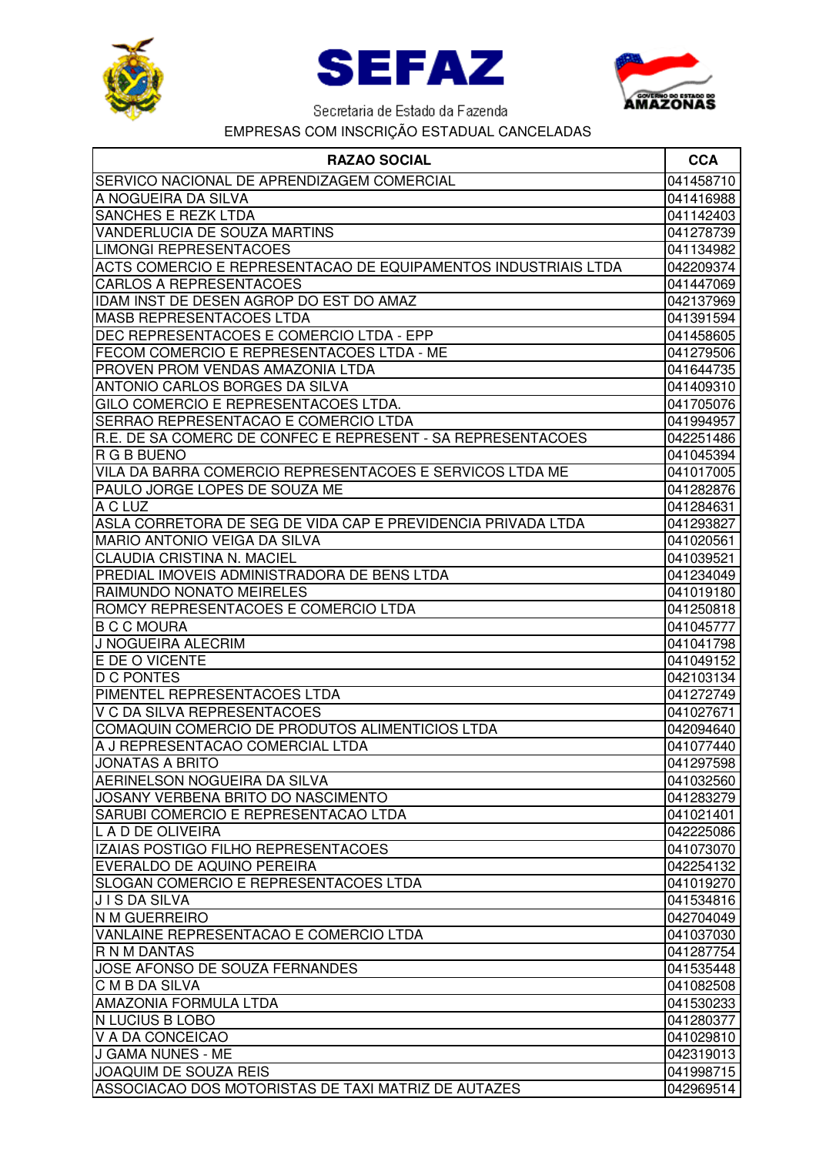





| <b>RAZAO SOCIAL</b>                                            | <b>CCA</b> |
|----------------------------------------------------------------|------------|
| SERVICO NACIONAL DE APRENDIZAGEM COMERCIAL                     | 041458710  |
| A NOGUEIRA DA SILVA                                            | 041416988  |
| SANCHES E REZK LTDA                                            | 041142403  |
| VANDERLUCIA DE SOUZA MARTINS                                   | 041278739  |
| <b>LIMONGI REPRESENTACOES</b>                                  | 041134982  |
| ACTS COMERCIO E REPRESENTACAO DE EQUIPAMENTOS INDUSTRIAIS LTDA | 042209374  |
| <b>CARLOS A REPRESENTACOES</b>                                 | 041447069  |
| IDAM INST DE DESEN AGROP DO EST DO AMAZ                        | 042137969  |
| <b>MASB REPRESENTACOES LTDA</b>                                | 041391594  |
| DEC REPRESENTACOES E COMERCIO LTDA - EPP                       | 041458605  |
| FECOM COMERCIO E REPRESENTACOES LTDA - ME                      | 041279506  |
| PROVEN PROM VENDAS AMAZONIA LTDA                               | 041644735  |
| ANTONIO CARLOS BORGES DA SILVA                                 | 041409310  |
| GILO COMERCIO E REPRESENTACOES LTDA.                           | 041705076  |
| SERRAO REPRESENTACAO E COMERCIO LTDA                           | 041994957  |
| R.E. DE SA COMERC DE CONFEC E REPRESENT - SA REPRESENTACOES    | 042251486  |
| R G B BUENO                                                    | 041045394  |
| VILA DA BARRA COMERCIO REPRESENTACOES E SERVICOS LTDA ME       | 041017005  |
| PAULO JORGE LOPES DE SOUZA ME                                  | 041282876  |
| A C LUZ                                                        | 041284631  |
| ASLA CORRETORA DE SEG DE VIDA CAP E PREVIDENCIA PRIVADA LTDA   | 041293827  |
| <b>MARIO ANTONIO VEIGA DA SILVA</b>                            | 041020561  |
| CLAUDIA CRISTINA N. MACIEL                                     | 041039521  |
| PREDIAL IMOVEIS ADMINISTRADORA DE BENS LTDA                    | 041234049  |
| RAIMUNDO NONATO MEIRELES                                       | 041019180  |
| ROMCY REPRESENTACOES E COMERCIO LTDA                           | 041250818  |
| <b>B C C MOURA</b>                                             | 041045777  |
| J NOGUEIRA ALECRIM                                             | 041041798  |
| E DE O VICENTE                                                 | 041049152  |
| <b>D C PONTES</b>                                              | 042103134  |
| PIMENTEL REPRESENTACOES LTDA                                   | 041272749  |
| V C DA SILVA REPRESENTACOES                                    | 041027671  |
| COMAQUIN COMERCIO DE PRODUTOS ALIMENTICIOS LTDA                | 042094640  |
| A J REPRESENTACAO COMERCIAL LTDA                               | 041077440  |
| <b>JONATAS A BRITO</b>                                         | 041297598  |
| <b>AERINELSON NOGUEIRA DA SILVA</b>                            | 041032560  |
| JOSANY VERBENA BRITO DO NASCIMENTO                             | 041283279  |
| SARUBI COMERCIO E REPRESENTACAO LTDA                           | 041021401  |
| L A D DE OLIVEIRA                                              | 042225086  |
| IZAIAS POSTIGO FILHO REPRESENTACOES                            | 041073070  |
| EVERALDO DE AQUINO PEREIRA                                     | 042254132  |
| SLOGAN COMERCIO E REPRESENTACOES LTDA                          | 041019270  |
| JIS DA SILVA                                                   | 041534816  |
| <b>N M GUERREIRO</b>                                           | 042704049  |
| VANLAINE REPRESENTACAO E COMERCIO LTDA                         | 041037030  |
| R N M DANTAS                                                   | 041287754  |
| JOSE AFONSO DE SOUZA FERNANDES                                 | 041535448  |
| <b>CMBDASILVA</b>                                              | 041082508  |
| <b>AMAZONIA FORMULA LTDA</b>                                   | 041530233  |
| N LUCIUS B LOBO                                                | 041280377  |
| V A DA CONCEICAO                                               | 041029810  |
| J GAMA NUNES - ME                                              | 042319013  |
| <b>JOAQUIM DE SOUZA REIS</b>                                   | 041998715  |
| ASSOCIACAO DOS MOTORISTAS DE TAXI MATRIZ DE AUTAZES            | 042969514  |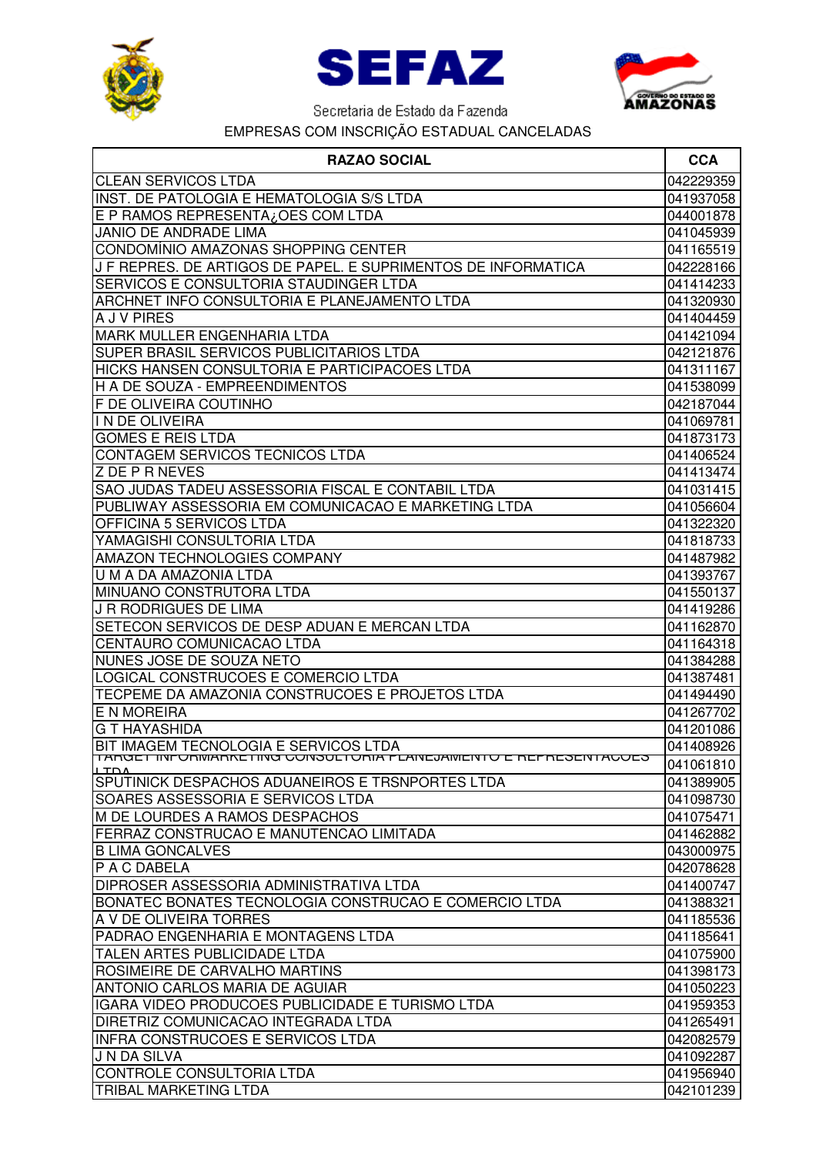





| <b>RAZAO SOCIAL</b>                                                       | <b>CCA</b>             |
|---------------------------------------------------------------------------|------------------------|
| <b>CLEAN SERVICOS LTDA</b>                                                | 042229359              |
| INST. DE PATOLOGIA E HEMATOLOGIA S/S LTDA                                 | 041937058              |
| E P RAMOS REPRESENTA¿OES COM LTDA                                         | 044001878              |
| <b>JANIO DE ANDRADE LIMA</b>                                              | 041045939              |
| CONDOMÍNIO AMAZONAS SHOPPING CENTER                                       | 041165519              |
| J F REPRES. DE ARTIGOS DE PAPEL. E SUPRIMENTOS DE INFORMATICA             | 042228166              |
| SERVICOS E CONSULTORIA STAUDINGER LTDA                                    | 041414233              |
| ARCHNET INFO CONSULTORIA E PLANEJAMENTO LTDA                              | 041320930              |
| A J V PIRES                                                               | 041404459              |
| <b>MARK MULLER ENGENHARIA LTDA</b>                                        | 041421094              |
| SUPER BRASIL SERVICOS PUBLICITARIOS LTDA                                  | 042121876              |
| <b>HICKS HANSEN CONSULTORIA E PARTICIPACOES LTDA</b>                      | 041311167              |
| H A DE SOUZA - EMPREENDIMENTOS                                            | 041538099              |
| F DE OLIVEIRA COUTINHO                                                    | 042187044              |
| IN DE OLIVEIRA                                                            | 041069781              |
| <b>GOMES E REIS LTDA</b>                                                  | 041873173              |
| <b>CONTAGEM SERVICOS TECNICOS LTDA</b>                                    | 041406524              |
| <b>Z DE P R NEVES</b>                                                     | 041413474              |
| SAO JUDAS TADEU ASSESSORIA FISCAL E CONTABIL LTDA                         | 041031415              |
| PUBLIWAY ASSESSORIA EM COMUNICACAO E MARKETING LTDA                       | 041056604              |
| OFFICINA 5 SERVICOS LTDA                                                  | 041322320              |
| YAMAGISHI CONSULTORIA LTDA                                                | 041818733              |
| <b>AMAZON TECHNOLOGIES COMPANY</b>                                        | 041487982              |
| U M A DA AMAZONIA LTDA                                                    | 041393767              |
| MINUANO CONSTRUTORA LTDA                                                  | 041550137              |
| J R RODRIGUES DE LIMA                                                     | 041419286              |
| SETECON SERVICOS DE DESP ADUAN E MERCAN LTDA                              | 041162870              |
| CENTAURO COMUNICACAO LTDA                                                 | 041164318              |
| NUNES JOSE DE SOUZA NETO                                                  | 041384288              |
| LOGICAL CONSTRUCOES E COMERCIO LTDA                                       | 041387481              |
| TECPEME DA AMAZONIA CONSTRUCOES E PROJETOS LTDA<br>E N MOREIRA            | 041494490              |
| <b>G T HAYASHIDA</b>                                                      | 041267702<br>041201086 |
| BIT IMAGEM TECNOLOGIA E SERVICOS LTDA                                     | 041408926              |
| <u>TANGET INFONIVIANNETING GONSULTONIA FLANEJAWIENTO E NEFNESENTAGOES</u> |                        |
| 1 TDA<br>SPUTINICK DESPACHOS ADUANEIROS E TRSNPORTES LTDA                 | 041061810<br>041389905 |
| SOARES ASSESSORIA E SERVICOS LTDA                                         | 041098730              |
| M DE LOURDES A RAMOS DESPACHOS                                            | 041075471              |
| FERRAZ CONSTRUCAO E MANUTENCAO LIMITADA                                   | 041462882              |
| <b>B LIMA GONCALVES</b>                                                   | 043000975              |
| P A C DABELA                                                              | 042078628              |
| DIPROSER ASSESSORIA ADMINISTRATIVA LTDA                                   | 041400747              |
| BONATEC BONATES TECNOLOGIA CONSTRUCAO E COMERCIO LTDA                     | 041388321              |
| A V DE OLIVEIRA TORRES                                                    | 041185536              |
| PADRAO ENGENHARIA E MONTAGENS LTDA                                        | 041185641              |
| TALEN ARTES PUBLICIDADE LTDA                                              | 041075900              |
| ROSIMEIRE DE CARVALHO MARTINS                                             | 041398173              |
| <b>ANTONIO CARLOS MARIA DE AGUIAR</b>                                     | 041050223              |
| IGARA VIDEO PRODUCOES PUBLICIDADE E TURISMO LTDA                          | 041959353              |
| <b>DIRETRIZ COMUNICACAO INTEGRADA LTDA</b>                                | 041265491              |
| <b>INFRA CONSTRUCOES E SERVICOS LTDA</b>                                  | 042082579              |
| <b>J N DA SILVA</b>                                                       | 041092287              |
| CONTROLE CONSULTORIA LTDA                                                 | 041956940              |
| <b>TRIBAL MARKETING LTDA</b>                                              | 042101239              |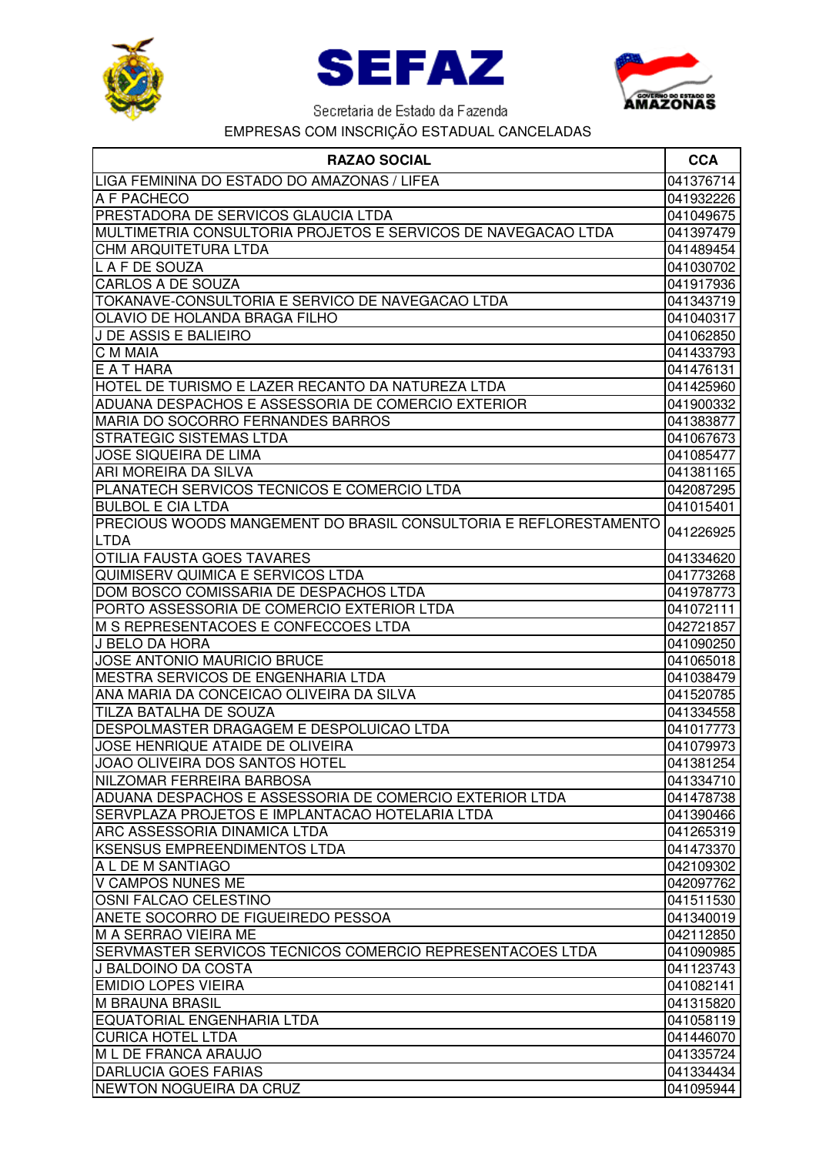





| <b>RAZAO SOCIAL</b>                                              | <b>CCA</b> |
|------------------------------------------------------------------|------------|
| LIGA FEMININA DO ESTADO DO AMAZONAS / LIFEA                      | 041376714  |
| A F PACHECO                                                      | 041932226  |
| PRESTADORA DE SERVICOS GLAUCIA LTDA                              | 041049675  |
| MULTIMETRIA CONSULTORIA PROJETOS E SERVICOS DE NAVEGACAO LTDA    | 041397479  |
| CHM ARQUITETURA LTDA                                             | 041489454  |
| L A F DE SOUZA                                                   | 041030702  |
| <b>CARLOS A DE SOUZA</b>                                         | 041917936  |
| TOKANAVE-CONSULTORIA E SERVICO DE NAVEGACAO LTDA                 | 041343719  |
| OLAVIO DE HOLANDA BRAGA FILHO                                    | 041040317  |
| J DE ASSIS E BALIEIRO                                            | 041062850  |
| C M MAIA                                                         | 041433793  |
| E A T HARA                                                       | 041476131  |
| HOTEL DE TURISMO E LAZER RECANTO DA NATUREZA LTDA                | 041425960  |
| ADUANA DESPACHOS E ASSESSORIA DE COMERCIO EXTERIOR               | 041900332  |
| MARIA DO SOCORRO FERNANDES BARROS                                | 041383877  |
| <b>STRATEGIC SISTEMAS LTDA</b>                                   | 041067673  |
| <b>JOSE SIQUEIRA DE LIMA</b>                                     | 041085477  |
| ARI MOREIRA DA SILVA                                             | 041381165  |
| PLANATECH SERVICOS TECNICOS E COMERCIO LTDA                      | 042087295  |
| <b>BULBOL E CIA LTDA</b>                                         | 041015401  |
| PRECIOUS WOODS MANGEMENT DO BRASIL CONSULTORIA E REFLORESTAMENTO |            |
| LTDA                                                             | 041226925  |
| <b>OTILIA FAUSTA GOES TAVARES</b>                                | 041334620  |
| QUIMISERV QUIMICA E SERVICOS LTDA                                | 041773268  |
| DOM BOSCO COMISSARIA DE DESPACHOS LTDA                           | 041978773  |
| PORTO ASSESSORIA DE COMERCIO EXTERIOR LTDA                       | 041072111  |
| M S REPRESENTACOES E CONFECCOES LTDA                             | 042721857  |
| J BELO DA HORA                                                   | 041090250  |
| JOSE ANTONIO MAURICIO BRUCE                                      | 041065018  |
| MESTRA SERVICOS DE ENGENHARIA LTDA                               | 041038479  |
| ANA MARIA DA CONCEICAO OLIVEIRA DA SILVA                         | 041520785  |
| TILZA BATALHA DE SOUZA                                           | 041334558  |
| DESPOLMASTER DRAGAGEM E DESPOLUICAO LTDA                         | 041017773  |
| JOSE HENRIQUE ATAIDE DE OLIVEIRA                                 | 041079973  |
| IJOAO OLIVEIRA DOS SANTOS HOTEL                                  | 041381254  |
| NILZOMAR FERREIRA BARBOSA                                        | 041334710  |
| ADUANA DESPACHOS E ASSESSORIA DE COMERCIO EXTERIOR LTDA          | 041478738  |
| SERVPLAZA PROJETOS E IMPLANTACAO HOTELARIA LTDA                  | 041390466  |
| <b>ARC ASSESSORIA DINAMICA LTDA</b>                              | 041265319  |
| KSENSUS EMPREENDIMENTOS LTDA                                     | 041473370  |
| A L DE M SANTIAGO                                                | 042109302  |
| V CAMPOS NUNES ME                                                | 042097762  |
| OSNI FALCAO CELESTINO                                            | 041511530  |
| ANETE SOCORRO DE FIGUEIREDO PESSOA                               | 041340019  |
| M A SERRAO VIEIRA ME                                             | 042112850  |
| SERVMASTER SERVICOS TECNICOS COMERCIO REPRESENTACOES LTDA        | 041090985  |
| U BALDOINO DA COSTA                                              | 041123743  |
| <b>EMIDIO LOPES VIEIRA</b>                                       | 041082141  |
| <b>M BRAUNA BRASIL</b>                                           | 041315820  |
| EQUATORIAL ENGENHARIA LTDA                                       | 041058119  |
| <b>CURICA HOTEL LTDA</b>                                         | 041446070  |
| M L DE FRANCA ARAUJO                                             | 041335724  |
| <b>DARLUCIA GOES FARIAS</b>                                      | 041334434  |
| NEWTON NOGUEIRA DA CRUZ                                          | 041095944  |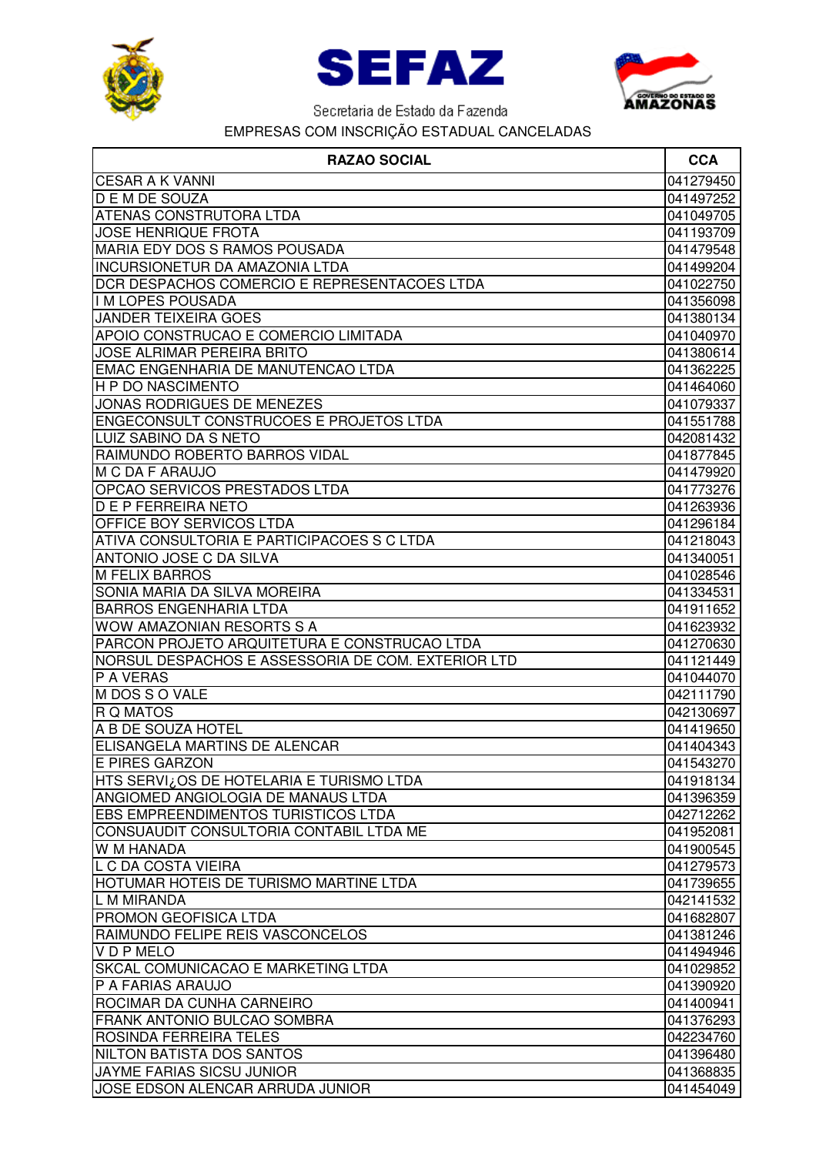





| <b>RAZAO SOCIAL</b>                                | <b>CCA</b> |
|----------------------------------------------------|------------|
| <b>CESAR A K VANNI</b>                             | 041279450  |
| <b>DEMDE SOUZA</b>                                 | 041497252  |
| <b>ATENAS CONSTRUTORA LTDA</b>                     | 041049705  |
| <b>JOSE HENRIQUE FROTA</b>                         | 041193709  |
| MARIA EDY DOS S RAMOS POUSADA                      | 041479548  |
| <b>INCURSIONETUR DA AMAZONIA LTDA</b>              | 041499204  |
| DCR DESPACHOS COMERCIO E REPRESENTACOES LTDA       | 041022750  |
| I M LOPES POUSADA                                  | 041356098  |
| <b>JANDER TEIXEIRA GOES</b>                        | 041380134  |
| APOIO CONSTRUCAO E COMERCIO LIMITADA               | 041040970  |
| <b>JOSE ALRIMAR PEREIRA BRITO</b>                  | 041380614  |
| EMAC ENGENHARIA DE MANUTENCAO LTDA                 | 041362225  |
| <b>H P DO NASCIMENTO</b>                           | 041464060  |
| JONAS RODRIGUES DE MENEZES                         | 041079337  |
| <b>ENGECONSULT CONSTRUCOES E PROJETOS LTDA</b>     | 041551788  |
| LUIZ SABINO DA S NETO                              | 042081432  |
| RAIMUNDO ROBERTO BARROS VIDAL                      | 041877845  |
| M C DA F ARAUJO                                    | 041479920  |
| OPCAO SERVICOS PRESTADOS LTDA                      | 041773276  |
| <b>D E P FERREIRA NETO</b>                         | 041263936  |
| <b>OFFICE BOY SERVICOS LTDA</b>                    | 041296184  |
| ATIVA CONSULTORIA E PARTICIPACOES S C LTDA         | 041218043  |
| <b>ANTONIO JOSE C DA SILVA</b>                     | 041340051  |
| <b>M FELIX BARROS</b>                              | 041028546  |
| SONIA MARIA DA SILVA MOREIRA                       | 041334531  |
| <b>BARROS ENGENHARIA LTDA</b>                      | 041911652  |
| <b>WOW AMAZONIAN RESORTS S A</b>                   | 041623932  |
| PARCON PROJETO ARQUITETURA E CONSTRUCAO LTDA       | 041270630  |
| NORSUL DESPACHOS E ASSESSORIA DE COM. EXTERIOR LTD | 041121449  |
| P A VERAS                                          | 041044070  |
| M DOS S O VALE                                     | 042111790  |
| <b>R Q MATOS</b>                                   | 042130697  |
| A B DE SOUZA HOTEL                                 | 041419650  |
| ELISANGELA MARTINS DE ALENCAR                      | 041404343  |
| E PIRES GARZON                                     | 041543270  |
| HTS SERVI¿OS DE HOTELARIA E TURISMO LTDA           | 041918134  |
| ANGIOMED ANGIOLOGIA DE MANAUS LTDA                 | 041396359  |
| <b>EBS EMPREENDIMENTOS TURISTICOS LTDA</b>         | 042712262  |
| CONSUAUDIT CONSULTORIA CONTABIL LTDA ME            | 041952081  |
| <b>W M HANADA</b>                                  | 041900545  |
| L C DA COSTA VIEIRA                                | 041279573  |
| HOTUMAR HOTEIS DE TURISMO MARTINE LTDA             | 041739655  |
| L M MIRANDA                                        | 042141532  |
| <b>PROMON GEOFISICA LTDA</b>                       | 041682807  |
| RAIMUNDO FELIPE REIS VASCONCELOS                   | 041381246  |
| VDPMELO                                            | 041494946  |
| SKCAL COMUNICACAO E MARKETING LTDA                 | 041029852  |
| P A FARIAS ARAUJO                                  | 041390920  |
| ROCIMAR DA CUNHA CARNEIRO                          | 041400941  |
| FRANK ANTONIO BULCAO SOMBRA                        | 041376293  |
| ROSINDA FERREIRA TELES                             | 042234760  |
| NILTON BATISTA DOS SANTOS                          | 041396480  |
| <b>JAYME FARIAS SICSU JUNIOR</b>                   | 041368835  |
| JOSE EDSON ALENCAR ARRUDA JUNIOR                   | 041454049  |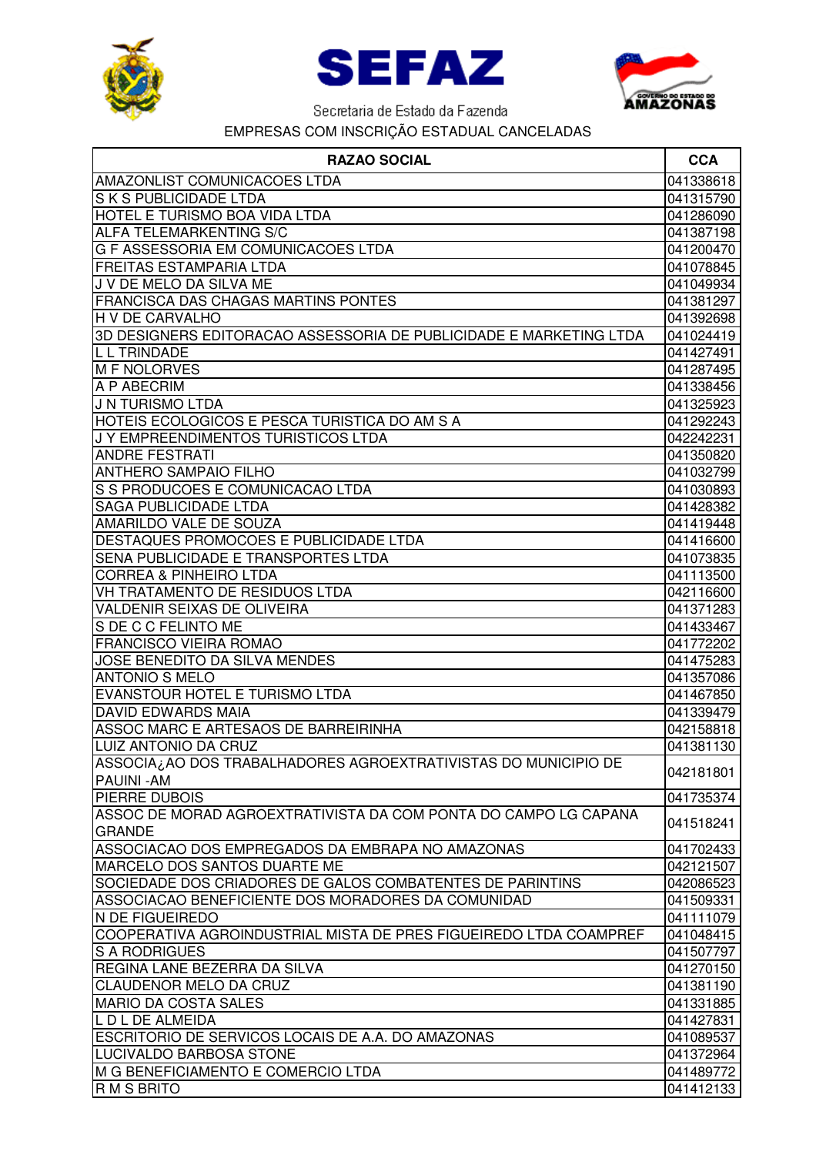





| <b>RAZAO SOCIAL</b>                                                | <b>CCA</b> |
|--------------------------------------------------------------------|------------|
| <b>AMAZONLIST COMUNICACOES LTDA</b>                                | 041338618  |
| S K S PUBLICIDADE LTDA                                             | 041315790  |
| HOTEL E TURISMO BOA VIDA LTDA                                      | 041286090  |
| <b>ALFA TELEMARKENTING S/C</b>                                     | 041387198  |
| G F ASSESSORIA EM COMUNICACOES LTDA                                | 041200470  |
| <b>FREITAS ESTAMPARIA LTDA</b>                                     | 041078845  |
| J V DE MELO DA SILVA ME                                            | 041049934  |
| FRANCISCA DAS CHAGAS MARTINS PONTES                                | 041381297  |
| <b>H V DE CARVALHO</b>                                             | 041392698  |
| 3D DESIGNERS EDITORACAO ASSESSORIA DE PUBLICIDADE E MARKETING LTDA | 041024419  |
| <b>LL TRINDADE</b>                                                 | 041427491  |
| <b>M F NOLORVES</b>                                                | 041287495  |
| A P ABECRIM                                                        | 041338456  |
| J N TURISMO LTDA                                                   | 041325923  |
| HOTEIS ECOLOGICOS E PESCA TURISTICA DO AM S A                      | 041292243  |
| J Y EMPREENDIMENTOS TURISTICOS LTDA                                | 042242231  |
| <b>ANDRE FESTRATI</b>                                              | 041350820  |
| <b>ANTHERO SAMPAIO FILHO</b>                                       | 041032799  |
| S S PRODUCOES E COMUNICACAO LTDA                                   | 041030893  |
| <b>SAGA PUBLICIDADE LTDA</b>                                       | 041428382  |
| AMARILDO VALE DE SOUZA                                             | 041419448  |
| DESTAQUES PROMOCOES E PUBLICIDADE LTDA                             | 041416600  |
| SENA PUBLICIDADE E TRANSPORTES LTDA                                | 041073835  |
| <b>CORREA &amp; PINHEIRO LTDA</b>                                  | 041113500  |
| VH TRATAMENTO DE RESIDUOS LTDA                                     | 042116600  |
| VALDENIR SEIXAS DE OLIVEIRA                                        | 041371283  |
| S DE C C FELINTO ME                                                | 041433467  |
| <b>FRANCISCO VIEIRA ROMAO</b>                                      | 041772202  |
| JOSE BENEDITO DA SILVA MENDES                                      | 041475283  |
| <b>ANTONIO S MELO</b>                                              | 041357086  |
| EVANSTOUR HOTEL E TURISMO LTDA                                     | 041467850  |
| <b>DAVID EDWARDS MAIA</b>                                          | 041339479  |
| ASSOC MARC E ARTESAOS DE BARREIRINHA                               | 042158818  |
| LUIZ ANTONIO DA CRUZ                                               | 041381130  |
| ASSOCIA¿AO DOS TRABALHADORES AGROEXTRATIVISTAS DO MUNICIPIO DE     | 042181801  |
| <b>PAUINI-AM</b>                                                   |            |
| <b>PIERRE DUBOIS</b>                                               | 041735374  |
| ASSOC DE MORAD AGROEXTRATIVISTA DA COM PONTA DO CAMPO LG CAPANA    | 041518241  |
| <b>GRANDE</b>                                                      |            |
| ASSOCIACAO DOS EMPREGADOS DA EMBRAPA NO AMAZONAS                   | 041702433  |
| <b>MARCELO DOS SANTOS DUARTE ME</b>                                | 042121507  |
| SOCIEDADE DOS CRIADORES DE GALOS COMBATENTES DE PARINTINS          | 042086523  |
| ASSOCIACAO BENEFICIENTE DOS MORADORES DA COMUNIDAD                 | 041509331  |
| N DE FIGUEIREDO                                                    | 041111079  |
| COOPERATIVA AGROINDUSTRIAL MISTA DE PRES FIGUEIREDO LTDA COAMPREF  | 041048415  |
| <b>S A RODRIGUES</b>                                               | 041507797  |
| REGINA LANE BEZERRA DA SILVA                                       | 041270150  |
| <b>CLAUDENOR MELO DA CRUZ</b>                                      | 041381190  |
| <b>MARIO DA COSTA SALES</b>                                        | 041331885  |
| L D L DE ALMEIDA                                                   | 041427831  |
| ESCRITORIO DE SERVICOS LOCAIS DE A.A. DO AMAZONAS                  | 041089537  |
| LUCIVALDO BARBOSA STONE                                            | 041372964  |
| M G BENEFICIAMENTO E COMERCIO LTDA                                 | 041489772  |
| R M S BRITO                                                        | 041412133  |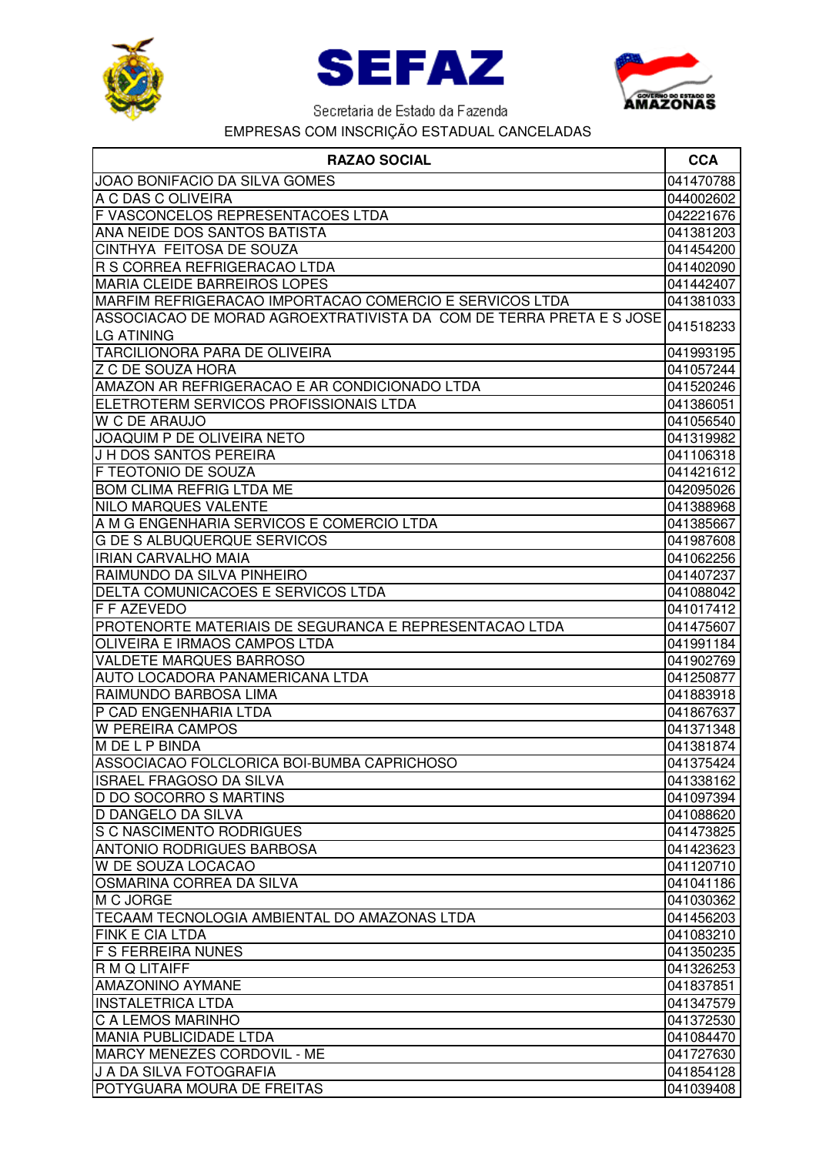





| <b>RAZAO SOCIAL</b>                                                 | <b>CCA</b> |
|---------------------------------------------------------------------|------------|
| JOAO BONIFACIO DA SILVA GOMES                                       | 041470788  |
| A C DAS C OLIVEIRA                                                  | 044002602  |
| F VASCONCELOS REPRESENTACOES LTDA                                   | 042221676  |
| ANA NEIDE DOS SANTOS BATISTA                                        | 041381203  |
| CINTHYA FEITOSA DE SOUZA                                            | 041454200  |
| R S CORREA REFRIGERACAO LTDA                                        | 041402090  |
| <b>MARIA CLEIDE BARREIROS LOPES</b>                                 | 041442407  |
| MARFIM REFRIGERACAO IMPORTACAO COMERCIO E SERVICOS LTDA             | 041381033  |
| ASSOCIACAO DE MORAD AGROEXTRATIVISTA DA COM DE TERRA PRETA E S JOSE |            |
| <b>LG ATINING</b>                                                   | 041518233  |
| <b>TARCILIONORA PARA DE OLIVEIRA</b>                                | 041993195  |
| <b>Z C DE SOUZA HORA</b>                                            | 041057244  |
| AMAZON AR REFRIGERACAO E AR CONDICIONADO LTDA                       | 041520246  |
| ELETROTERM SERVICOS PROFISSIONAIS LTDA                              | 041386051  |
| <b>W C DE ARAUJO</b>                                                | 041056540  |
| JOAQUIM P DE OLIVEIRA NETO                                          | 041319982  |
| J H DOS SANTOS PEREIRA                                              | 041106318  |
| F TEOTONIO DE SOUZA                                                 | 041421612  |
| <b>BOM CLIMA REFRIG LTDA ME</b>                                     | 042095026  |
| <b>NILO MARQUES VALENTE</b>                                         | 041388968  |
| A M G ENGENHARIA SERVICOS E COMERCIO LTDA                           | 041385667  |
| <b>G DE S ALBUQUERQUE SERVICOS</b>                                  | 041987608  |
| <b>IRIAN CARVALHO MAIA</b>                                          | 041062256  |
| RAIMUNDO DA SILVA PINHEIRO                                          | 041407237  |
| DELTA COMUNICACOES E SERVICOS LTDA                                  | 041088042  |
| F F AZEVEDO                                                         | 041017412  |
| PROTENORTE MATERIAIS DE SEGURANCA E REPRESENTACAO LTDA              | 041475607  |
| OLIVEIRA E IRMAOS CAMPOS LTDA                                       | 041991184  |
| <b>VALDETE MARQUES BARROSO</b>                                      | 041902769  |
| AUTO LOCADORA PANAMERICANA LTDA                                     | 041250877  |
| RAIMUNDO BARBOSA LIMA                                               | 041883918  |
| P CAD ENGENHARIA LTDA                                               | 041867637  |
| <b>W PEREIRA CAMPOS</b>                                             | 041371348  |
| M DE L P BINDA                                                      | 041381874  |
| ASSOCIACAO FOLCLORICA BOI-BUMBA CAPRICHOSO                          | 041375424  |
| <b>ISRAEL FRAGOSO DA SILVA</b>                                      | 041338162  |
| <b>D DO SOCORRO S MARTINS</b>                                       | 041097394  |
| <b>D DANGELO DA SILVA</b>                                           | 041088620  |
| <b>S C NASCIMENTO RODRIGUES</b>                                     | 041473825  |
| <b>ANTONIO RODRIGUES BARBOSA</b>                                    | 041423623  |
| W DE SOUZA LOCACAO                                                  | 041120710  |
| OSMARINA CORREA DA SILVA                                            | 041041186  |
| M C JORGE                                                           | 041030362  |
| TECAAM TECNOLOGIA AMBIENTAL DO AMAZONAS LTDA                        | 041456203  |
| <b>FINK E CIA LTDA</b>                                              | 041083210  |
| <b>F S FERREIRA NUNES</b>                                           | 041350235  |
| R M Q LITAIFF                                                       | 041326253  |
| <b>AMAZONINO AYMANE</b>                                             | 041837851  |
| <b>INSTALETRICA LTDA</b>                                            | 041347579  |
| C A LEMOS MARINHO                                                   | 041372530  |
| <b>MANIA PUBLICIDADE LTDA</b>                                       | 041084470  |
| MARCY MENEZES CORDOVIL - ME                                         | 041727630  |
| J A DA SILVA FOTOGRAFIA                                             | 041854128  |
| POTYGUARA MOURA DE FREITAS                                          | 041039408  |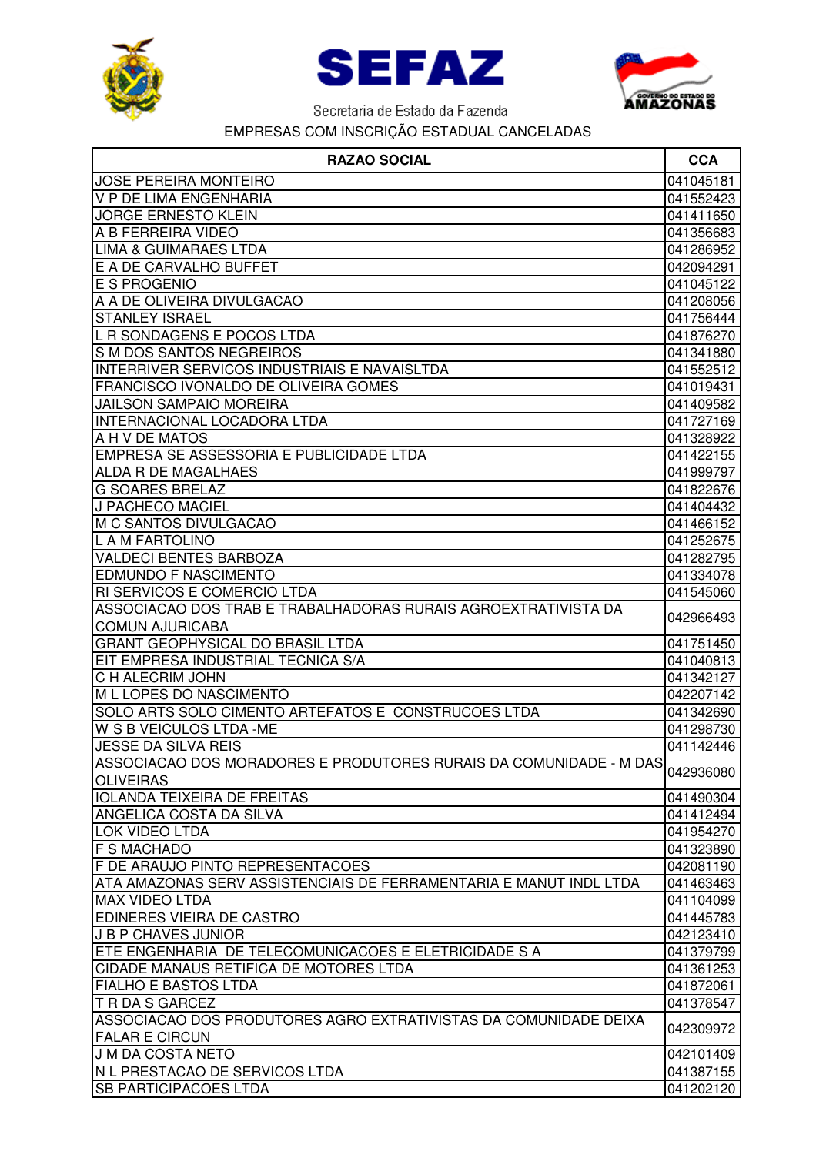





| <b>JOSE PEREIRA MONTEIRO</b>                                       | 041045181 |
|--------------------------------------------------------------------|-----------|
| V P DE LIMA ENGENHARIA                                             | 041552423 |
| <b>JORGE ERNESTO KLEIN</b>                                         | 041411650 |
| A B FERREIRA VIDEO                                                 | 041356683 |
| <b>LIMA &amp; GUIMARAES LTDA</b>                                   | 041286952 |
| E A DE CARVALHO BUFFET                                             | 042094291 |
| <b>E S PROGENIO</b>                                                | 041045122 |
| A A DE OLIVEIRA DIVULGACAO                                         | 041208056 |
| <b>STANLEY ISRAEL</b>                                              | 041756444 |
| L R SONDAGENS E POCOS LTDA                                         | 041876270 |
| S M DOS SANTOS NEGREIROS                                           | 041341880 |
| INTERRIVER SERVICOS INDUSTRIAIS E NAVAISLTDA                       | 041552512 |
| FRANCISCO IVONALDO DE OLIVEIRA GOMES                               | 041019431 |
| <b>JAILSON SAMPAIO MOREIRA</b>                                     | 041409582 |
| <b>INTERNACIONAL LOCADORA LTDA</b>                                 | 041727169 |
| A H V DE MATOS                                                     | 041328922 |
| EMPRESA SE ASSESSORIA E PUBLICIDADE LTDA                           | 041422155 |
| <b>ALDA R DE MAGALHAES</b>                                         | 041999797 |
| <b>G SOARES BRELAZ</b>                                             | 041822676 |
| J PACHECO MACIEL                                                   | 041404432 |
| M C SANTOS DIVULGACAO                                              | 041466152 |
| L A M FARTOLINO                                                    | 041252675 |
| <b>VALDECI BENTES BARBOZA</b>                                      | 041282795 |
| <b>EDMUNDO F NASCIMENTO</b>                                        | 041334078 |
| RI SERVICOS E COMERCIO LTDA                                        | 041545060 |
| ASSOCIACAO DOS TRAB E TRABALHADORAS RURAIS AGROEXTRATIVISTA DA     |           |
| <b>COMUN AJURICABA</b>                                             | 042966493 |
| <b>GRANT GEOPHYSICAL DO BRASIL LTDA</b>                            | 041751450 |
| EIT EMPRESA INDUSTRIAL TECNICA S/A                                 | 041040813 |
| C H ALECRIM JOHN                                                   | 041342127 |
| M L LOPES DO NASCIMENTO                                            | 042207142 |
| SOLO ARTS SOLO CIMENTO ARTEFATOS E CONSTRUCOES LTDA                | 041342690 |
| <b>W S B VEICULOS LTDA -ME</b>                                     | 041298730 |
| <b>JESSE DA SILVA REIS</b>                                         | 041142446 |
| ASSOCIACAO DOS MORADORES E PRODUTORES RURAIS DA COMUNIDADE - M DAS |           |
| <b>OLIVEIRAS</b>                                                   | 042936080 |
| <b>IOLANDA TEIXEIRA DE FREITAS</b>                                 | 041490304 |
| ANGELICA COSTA DA SILVA                                            | 041412494 |
| <b>LOK VIDEO LTDA</b>                                              | 041954270 |
| <b>F S MACHADO</b>                                                 | 041323890 |
| F DE ARAUJO PINTO REPRESENTACOES                                   | 042081190 |
| ATA AMAZONAS SERV ASSISTENCIAIS DE FERRAMENTARIA E MANUT INDL LTDA | 041463463 |
| <b>MAX VIDEO LTDA</b>                                              | 041104099 |
| EDINERES VIEIRA DE CASTRO                                          | 041445783 |
| <b>J B P CHAVES JUNIOR</b>                                         | 042123410 |
| ETE ENGENHARIA DE TELECOMUNICACOES E ELETRICIDADE S A              | 041379799 |
| <b>CIDADE MANAUS RETIFICA DE MOTORES LTDA</b>                      | 041361253 |
| FIALHO E BASTOS LTDA                                               | 041872061 |
| <b>T R DA S GARCEZ</b>                                             | 041378547 |
| ASSOCIACAO DOS PRODUTORES AGRO EXTRATIVISTAS DA COMUNIDADE DEIXA   |           |
| <b>FALAR E CIRCUN</b>                                              | 042309972 |
| <b>J M DA COSTA NETO</b>                                           | 042101409 |
| <b>IN L PRESTACAO DE SERVICOS LTDA</b>                             | 041387155 |
| <b>SB PARTICIPACOES LTDA</b>                                       | 041202120 |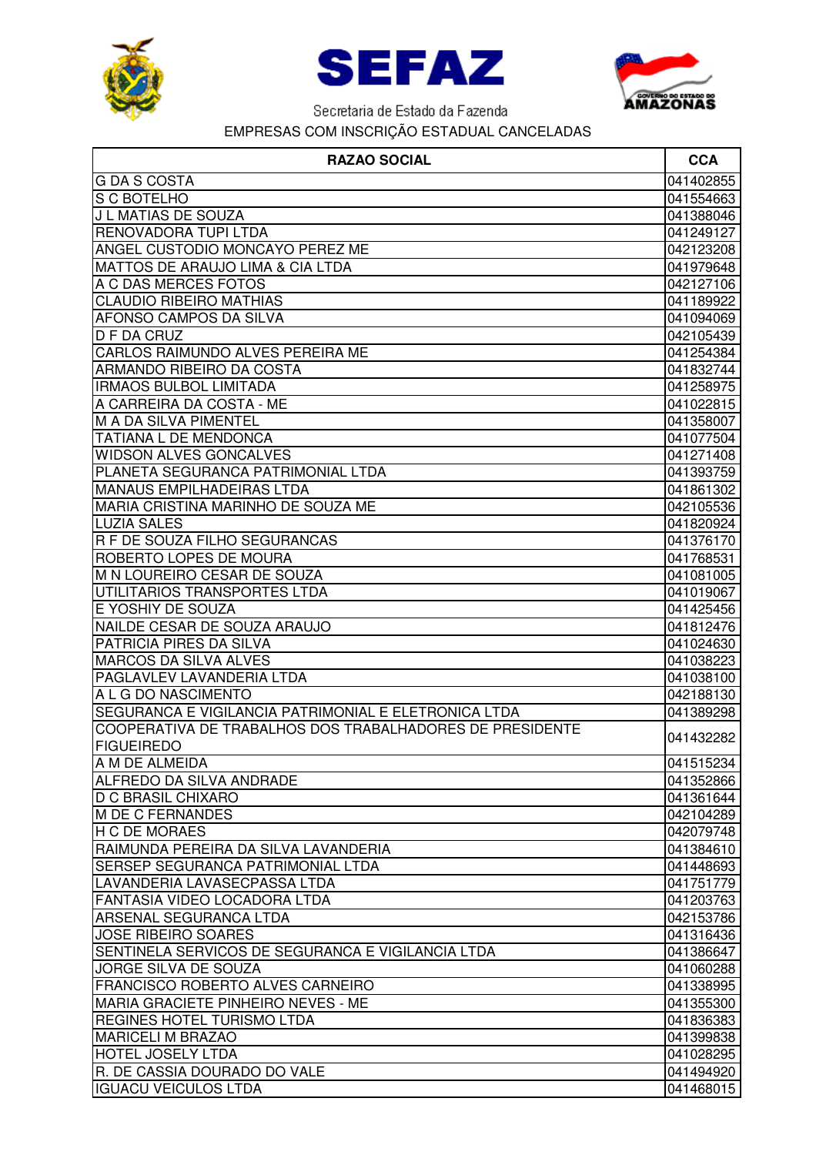





| <b>GDASCOSTA</b><br>041402855<br>S C BOTELHO<br>041554663<br>J L MATIAS DE SOUZA<br>041388046<br>RENOVADORA TUPI LTDA<br>041249127<br>ANGEL CUSTODIO MONCAYO PEREZ ME<br>042123208<br>MATTOS DE ARAUJO LIMA & CIA LTDA<br>041979648<br>A C DAS MERCES FOTOS<br>042127106<br><b>CLAUDIO RIBEIRO MATHIAS</b><br>041189922<br>AFONSO CAMPOS DA SILVA<br>041094069<br>D F DA CRUZ<br>042105439<br>CARLOS RAIMUNDO ALVES PEREIRA ME<br>041254384<br>ARMANDO RIBEIRO DA COSTA<br>041832744<br><b>IRMAOS BULBOL LIMITADA</b><br>041258975<br>A CARREIRA DA COSTA - ME<br>041022815<br><b>M A DA SILVA PIMENTEL</b><br>041358007<br><b>TATIANA L DE MENDONCA</b><br>041077504<br><b>WIDSON ALVES GONCALVES</b><br>041271408<br>PLANETA SEGURANCA PATRIMONIAL LTDA<br>041393759<br><b>MANAUS EMPILHADEIRAS LTDA</b><br>041861302<br>MARIA CRISTINA MARINHO DE SOUZA ME<br>042105536<br><b>LUZIA SALES</b><br>041820924<br>R F DE SOUZA FILHO SEGURANCAS<br>041376170<br>ROBERTO LOPES DE MOURA<br>041768531<br>M N LOUREIRO CESAR DE SOUZA<br>041081005<br>UTILITARIOS TRANSPORTES LTDA<br>041019067<br>E YOSHIY DE SOUZA<br>041425456<br>NAILDE CESAR DE SOUZA ARAUJO<br>041812476<br>PATRICIA PIRES DA SILVA<br>041024630<br><b>MARCOS DA SILVA ALVES</b><br>041038223<br>PAGLAVLEV LAVANDERIA LTDA<br>041038100<br>A L G DO NASCIMENTO<br>042188130<br>SEGURANCA E VIGILANCIA PATRIMONIAL E ELETRONICA LTDA<br>041389298<br>COOPERATIVA DE TRABALHOS DOS TRABALHADORES DE PRESIDENTE<br>041432282<br><b>FIGUEIREDO</b><br>A M DE ALMEIDA<br>041515234<br>ALFREDO DA SILVA ANDRADE<br>041352866<br><b>D C BRASIL CHIXARO</b><br>041361644<br>042104289<br>042079748<br>RAIMUNDA PEREIRA DA SILVA LAVANDERIA<br>041384610<br><b>SERSEP SEGURANCA PATRIMONIAL LTDA</b><br>041448693<br>LAVANDERIA LAVASECPASSA LTDA<br>041751779<br> FANTASIA VIDEO LOCADORA LTDA<br>041203763<br>ARSENAL SEGURANCA LTDA<br>042153786<br>041316436<br>SENTINELA SERVICOS DE SEGURANCA E VIGILANCIA LTDA<br>041386647<br><b>JORGE SILVA DE SOUZA</b><br>041060288<br><b>FRANCISCO ROBERTO ALVES CARNEIRO</b><br>041338995<br>MARIA GRACIETE PINHEIRO NEVES - ME<br>041355300<br><b>REGINES HOTEL TURISMO LTDA</b><br>041836383<br><b>MARICELI M BRAZAO</b><br>041399838<br><b>HOTEL JOSELY LTDA</b><br>041028295<br>R. DE CASSIA DOURADO DO VALE<br>041494920<br><b>IGUACU VEICULOS LTDA</b><br>041468015 | <b>RAZAO SOCIAL</b>        | <b>CCA</b> |
|---------------------------------------------------------------------------------------------------------------------------------------------------------------------------------------------------------------------------------------------------------------------------------------------------------------------------------------------------------------------------------------------------------------------------------------------------------------------------------------------------------------------------------------------------------------------------------------------------------------------------------------------------------------------------------------------------------------------------------------------------------------------------------------------------------------------------------------------------------------------------------------------------------------------------------------------------------------------------------------------------------------------------------------------------------------------------------------------------------------------------------------------------------------------------------------------------------------------------------------------------------------------------------------------------------------------------------------------------------------------------------------------------------------------------------------------------------------------------------------------------------------------------------------------------------------------------------------------------------------------------------------------------------------------------------------------------------------------------------------------------------------------------------------------------------------------------------------------------------------------------------------------------------------------------------------------------------------------------------------------------------------------------------------------------------------------------------------------------------------------------------------------------------------------------------------------------------------------------------------------------------------------------------------------------------------------------------------------------------------------------------|----------------------------|------------|
|                                                                                                                                                                                                                                                                                                                                                                                                                                                                                                                                                                                                                                                                                                                                                                                                                                                                                                                                                                                                                                                                                                                                                                                                                                                                                                                                                                                                                                                                                                                                                                                                                                                                                                                                                                                                                                                                                                                                                                                                                                                                                                                                                                                                                                                                                                                                                                                 |                            |            |
|                                                                                                                                                                                                                                                                                                                                                                                                                                                                                                                                                                                                                                                                                                                                                                                                                                                                                                                                                                                                                                                                                                                                                                                                                                                                                                                                                                                                                                                                                                                                                                                                                                                                                                                                                                                                                                                                                                                                                                                                                                                                                                                                                                                                                                                                                                                                                                                 |                            |            |
|                                                                                                                                                                                                                                                                                                                                                                                                                                                                                                                                                                                                                                                                                                                                                                                                                                                                                                                                                                                                                                                                                                                                                                                                                                                                                                                                                                                                                                                                                                                                                                                                                                                                                                                                                                                                                                                                                                                                                                                                                                                                                                                                                                                                                                                                                                                                                                                 |                            |            |
|                                                                                                                                                                                                                                                                                                                                                                                                                                                                                                                                                                                                                                                                                                                                                                                                                                                                                                                                                                                                                                                                                                                                                                                                                                                                                                                                                                                                                                                                                                                                                                                                                                                                                                                                                                                                                                                                                                                                                                                                                                                                                                                                                                                                                                                                                                                                                                                 |                            |            |
|                                                                                                                                                                                                                                                                                                                                                                                                                                                                                                                                                                                                                                                                                                                                                                                                                                                                                                                                                                                                                                                                                                                                                                                                                                                                                                                                                                                                                                                                                                                                                                                                                                                                                                                                                                                                                                                                                                                                                                                                                                                                                                                                                                                                                                                                                                                                                                                 |                            |            |
|                                                                                                                                                                                                                                                                                                                                                                                                                                                                                                                                                                                                                                                                                                                                                                                                                                                                                                                                                                                                                                                                                                                                                                                                                                                                                                                                                                                                                                                                                                                                                                                                                                                                                                                                                                                                                                                                                                                                                                                                                                                                                                                                                                                                                                                                                                                                                                                 |                            |            |
|                                                                                                                                                                                                                                                                                                                                                                                                                                                                                                                                                                                                                                                                                                                                                                                                                                                                                                                                                                                                                                                                                                                                                                                                                                                                                                                                                                                                                                                                                                                                                                                                                                                                                                                                                                                                                                                                                                                                                                                                                                                                                                                                                                                                                                                                                                                                                                                 |                            |            |
|                                                                                                                                                                                                                                                                                                                                                                                                                                                                                                                                                                                                                                                                                                                                                                                                                                                                                                                                                                                                                                                                                                                                                                                                                                                                                                                                                                                                                                                                                                                                                                                                                                                                                                                                                                                                                                                                                                                                                                                                                                                                                                                                                                                                                                                                                                                                                                                 |                            |            |
|                                                                                                                                                                                                                                                                                                                                                                                                                                                                                                                                                                                                                                                                                                                                                                                                                                                                                                                                                                                                                                                                                                                                                                                                                                                                                                                                                                                                                                                                                                                                                                                                                                                                                                                                                                                                                                                                                                                                                                                                                                                                                                                                                                                                                                                                                                                                                                                 |                            |            |
|                                                                                                                                                                                                                                                                                                                                                                                                                                                                                                                                                                                                                                                                                                                                                                                                                                                                                                                                                                                                                                                                                                                                                                                                                                                                                                                                                                                                                                                                                                                                                                                                                                                                                                                                                                                                                                                                                                                                                                                                                                                                                                                                                                                                                                                                                                                                                                                 |                            |            |
|                                                                                                                                                                                                                                                                                                                                                                                                                                                                                                                                                                                                                                                                                                                                                                                                                                                                                                                                                                                                                                                                                                                                                                                                                                                                                                                                                                                                                                                                                                                                                                                                                                                                                                                                                                                                                                                                                                                                                                                                                                                                                                                                                                                                                                                                                                                                                                                 |                            |            |
|                                                                                                                                                                                                                                                                                                                                                                                                                                                                                                                                                                                                                                                                                                                                                                                                                                                                                                                                                                                                                                                                                                                                                                                                                                                                                                                                                                                                                                                                                                                                                                                                                                                                                                                                                                                                                                                                                                                                                                                                                                                                                                                                                                                                                                                                                                                                                                                 |                            |            |
|                                                                                                                                                                                                                                                                                                                                                                                                                                                                                                                                                                                                                                                                                                                                                                                                                                                                                                                                                                                                                                                                                                                                                                                                                                                                                                                                                                                                                                                                                                                                                                                                                                                                                                                                                                                                                                                                                                                                                                                                                                                                                                                                                                                                                                                                                                                                                                                 |                            |            |
|                                                                                                                                                                                                                                                                                                                                                                                                                                                                                                                                                                                                                                                                                                                                                                                                                                                                                                                                                                                                                                                                                                                                                                                                                                                                                                                                                                                                                                                                                                                                                                                                                                                                                                                                                                                                                                                                                                                                                                                                                                                                                                                                                                                                                                                                                                                                                                                 |                            |            |
|                                                                                                                                                                                                                                                                                                                                                                                                                                                                                                                                                                                                                                                                                                                                                                                                                                                                                                                                                                                                                                                                                                                                                                                                                                                                                                                                                                                                                                                                                                                                                                                                                                                                                                                                                                                                                                                                                                                                                                                                                                                                                                                                                                                                                                                                                                                                                                                 |                            |            |
|                                                                                                                                                                                                                                                                                                                                                                                                                                                                                                                                                                                                                                                                                                                                                                                                                                                                                                                                                                                                                                                                                                                                                                                                                                                                                                                                                                                                                                                                                                                                                                                                                                                                                                                                                                                                                                                                                                                                                                                                                                                                                                                                                                                                                                                                                                                                                                                 |                            |            |
|                                                                                                                                                                                                                                                                                                                                                                                                                                                                                                                                                                                                                                                                                                                                                                                                                                                                                                                                                                                                                                                                                                                                                                                                                                                                                                                                                                                                                                                                                                                                                                                                                                                                                                                                                                                                                                                                                                                                                                                                                                                                                                                                                                                                                                                                                                                                                                                 |                            |            |
|                                                                                                                                                                                                                                                                                                                                                                                                                                                                                                                                                                                                                                                                                                                                                                                                                                                                                                                                                                                                                                                                                                                                                                                                                                                                                                                                                                                                                                                                                                                                                                                                                                                                                                                                                                                                                                                                                                                                                                                                                                                                                                                                                                                                                                                                                                                                                                                 |                            |            |
|                                                                                                                                                                                                                                                                                                                                                                                                                                                                                                                                                                                                                                                                                                                                                                                                                                                                                                                                                                                                                                                                                                                                                                                                                                                                                                                                                                                                                                                                                                                                                                                                                                                                                                                                                                                                                                                                                                                                                                                                                                                                                                                                                                                                                                                                                                                                                                                 |                            |            |
|                                                                                                                                                                                                                                                                                                                                                                                                                                                                                                                                                                                                                                                                                                                                                                                                                                                                                                                                                                                                                                                                                                                                                                                                                                                                                                                                                                                                                                                                                                                                                                                                                                                                                                                                                                                                                                                                                                                                                                                                                                                                                                                                                                                                                                                                                                                                                                                 |                            |            |
|                                                                                                                                                                                                                                                                                                                                                                                                                                                                                                                                                                                                                                                                                                                                                                                                                                                                                                                                                                                                                                                                                                                                                                                                                                                                                                                                                                                                                                                                                                                                                                                                                                                                                                                                                                                                                                                                                                                                                                                                                                                                                                                                                                                                                                                                                                                                                                                 |                            |            |
|                                                                                                                                                                                                                                                                                                                                                                                                                                                                                                                                                                                                                                                                                                                                                                                                                                                                                                                                                                                                                                                                                                                                                                                                                                                                                                                                                                                                                                                                                                                                                                                                                                                                                                                                                                                                                                                                                                                                                                                                                                                                                                                                                                                                                                                                                                                                                                                 |                            |            |
|                                                                                                                                                                                                                                                                                                                                                                                                                                                                                                                                                                                                                                                                                                                                                                                                                                                                                                                                                                                                                                                                                                                                                                                                                                                                                                                                                                                                                                                                                                                                                                                                                                                                                                                                                                                                                                                                                                                                                                                                                                                                                                                                                                                                                                                                                                                                                                                 |                            |            |
|                                                                                                                                                                                                                                                                                                                                                                                                                                                                                                                                                                                                                                                                                                                                                                                                                                                                                                                                                                                                                                                                                                                                                                                                                                                                                                                                                                                                                                                                                                                                                                                                                                                                                                                                                                                                                                                                                                                                                                                                                                                                                                                                                                                                                                                                                                                                                                                 |                            |            |
|                                                                                                                                                                                                                                                                                                                                                                                                                                                                                                                                                                                                                                                                                                                                                                                                                                                                                                                                                                                                                                                                                                                                                                                                                                                                                                                                                                                                                                                                                                                                                                                                                                                                                                                                                                                                                                                                                                                                                                                                                                                                                                                                                                                                                                                                                                                                                                                 |                            |            |
|                                                                                                                                                                                                                                                                                                                                                                                                                                                                                                                                                                                                                                                                                                                                                                                                                                                                                                                                                                                                                                                                                                                                                                                                                                                                                                                                                                                                                                                                                                                                                                                                                                                                                                                                                                                                                                                                                                                                                                                                                                                                                                                                                                                                                                                                                                                                                                                 |                            |            |
|                                                                                                                                                                                                                                                                                                                                                                                                                                                                                                                                                                                                                                                                                                                                                                                                                                                                                                                                                                                                                                                                                                                                                                                                                                                                                                                                                                                                                                                                                                                                                                                                                                                                                                                                                                                                                                                                                                                                                                                                                                                                                                                                                                                                                                                                                                                                                                                 |                            |            |
|                                                                                                                                                                                                                                                                                                                                                                                                                                                                                                                                                                                                                                                                                                                                                                                                                                                                                                                                                                                                                                                                                                                                                                                                                                                                                                                                                                                                                                                                                                                                                                                                                                                                                                                                                                                                                                                                                                                                                                                                                                                                                                                                                                                                                                                                                                                                                                                 |                            |            |
|                                                                                                                                                                                                                                                                                                                                                                                                                                                                                                                                                                                                                                                                                                                                                                                                                                                                                                                                                                                                                                                                                                                                                                                                                                                                                                                                                                                                                                                                                                                                                                                                                                                                                                                                                                                                                                                                                                                                                                                                                                                                                                                                                                                                                                                                                                                                                                                 |                            |            |
|                                                                                                                                                                                                                                                                                                                                                                                                                                                                                                                                                                                                                                                                                                                                                                                                                                                                                                                                                                                                                                                                                                                                                                                                                                                                                                                                                                                                                                                                                                                                                                                                                                                                                                                                                                                                                                                                                                                                                                                                                                                                                                                                                                                                                                                                                                                                                                                 |                            |            |
|                                                                                                                                                                                                                                                                                                                                                                                                                                                                                                                                                                                                                                                                                                                                                                                                                                                                                                                                                                                                                                                                                                                                                                                                                                                                                                                                                                                                                                                                                                                                                                                                                                                                                                                                                                                                                                                                                                                                                                                                                                                                                                                                                                                                                                                                                                                                                                                 |                            |            |
|                                                                                                                                                                                                                                                                                                                                                                                                                                                                                                                                                                                                                                                                                                                                                                                                                                                                                                                                                                                                                                                                                                                                                                                                                                                                                                                                                                                                                                                                                                                                                                                                                                                                                                                                                                                                                                                                                                                                                                                                                                                                                                                                                                                                                                                                                                                                                                                 |                            |            |
|                                                                                                                                                                                                                                                                                                                                                                                                                                                                                                                                                                                                                                                                                                                                                                                                                                                                                                                                                                                                                                                                                                                                                                                                                                                                                                                                                                                                                                                                                                                                                                                                                                                                                                                                                                                                                                                                                                                                                                                                                                                                                                                                                                                                                                                                                                                                                                                 |                            |            |
|                                                                                                                                                                                                                                                                                                                                                                                                                                                                                                                                                                                                                                                                                                                                                                                                                                                                                                                                                                                                                                                                                                                                                                                                                                                                                                                                                                                                                                                                                                                                                                                                                                                                                                                                                                                                                                                                                                                                                                                                                                                                                                                                                                                                                                                                                                                                                                                 |                            |            |
|                                                                                                                                                                                                                                                                                                                                                                                                                                                                                                                                                                                                                                                                                                                                                                                                                                                                                                                                                                                                                                                                                                                                                                                                                                                                                                                                                                                                                                                                                                                                                                                                                                                                                                                                                                                                                                                                                                                                                                                                                                                                                                                                                                                                                                                                                                                                                                                 |                            |            |
|                                                                                                                                                                                                                                                                                                                                                                                                                                                                                                                                                                                                                                                                                                                                                                                                                                                                                                                                                                                                                                                                                                                                                                                                                                                                                                                                                                                                                                                                                                                                                                                                                                                                                                                                                                                                                                                                                                                                                                                                                                                                                                                                                                                                                                                                                                                                                                                 |                            |            |
|                                                                                                                                                                                                                                                                                                                                                                                                                                                                                                                                                                                                                                                                                                                                                                                                                                                                                                                                                                                                                                                                                                                                                                                                                                                                                                                                                                                                                                                                                                                                                                                                                                                                                                                                                                                                                                                                                                                                                                                                                                                                                                                                                                                                                                                                                                                                                                                 |                            |            |
|                                                                                                                                                                                                                                                                                                                                                                                                                                                                                                                                                                                                                                                                                                                                                                                                                                                                                                                                                                                                                                                                                                                                                                                                                                                                                                                                                                                                                                                                                                                                                                                                                                                                                                                                                                                                                                                                                                                                                                                                                                                                                                                                                                                                                                                                                                                                                                                 | <b>M DE C FERNANDES</b>    |            |
|                                                                                                                                                                                                                                                                                                                                                                                                                                                                                                                                                                                                                                                                                                                                                                                                                                                                                                                                                                                                                                                                                                                                                                                                                                                                                                                                                                                                                                                                                                                                                                                                                                                                                                                                                                                                                                                                                                                                                                                                                                                                                                                                                                                                                                                                                                                                                                                 | <b>H C DE MORAES</b>       |            |
|                                                                                                                                                                                                                                                                                                                                                                                                                                                                                                                                                                                                                                                                                                                                                                                                                                                                                                                                                                                                                                                                                                                                                                                                                                                                                                                                                                                                                                                                                                                                                                                                                                                                                                                                                                                                                                                                                                                                                                                                                                                                                                                                                                                                                                                                                                                                                                                 |                            |            |
|                                                                                                                                                                                                                                                                                                                                                                                                                                                                                                                                                                                                                                                                                                                                                                                                                                                                                                                                                                                                                                                                                                                                                                                                                                                                                                                                                                                                                                                                                                                                                                                                                                                                                                                                                                                                                                                                                                                                                                                                                                                                                                                                                                                                                                                                                                                                                                                 |                            |            |
|                                                                                                                                                                                                                                                                                                                                                                                                                                                                                                                                                                                                                                                                                                                                                                                                                                                                                                                                                                                                                                                                                                                                                                                                                                                                                                                                                                                                                                                                                                                                                                                                                                                                                                                                                                                                                                                                                                                                                                                                                                                                                                                                                                                                                                                                                                                                                                                 |                            |            |
|                                                                                                                                                                                                                                                                                                                                                                                                                                                                                                                                                                                                                                                                                                                                                                                                                                                                                                                                                                                                                                                                                                                                                                                                                                                                                                                                                                                                                                                                                                                                                                                                                                                                                                                                                                                                                                                                                                                                                                                                                                                                                                                                                                                                                                                                                                                                                                                 |                            |            |
|                                                                                                                                                                                                                                                                                                                                                                                                                                                                                                                                                                                                                                                                                                                                                                                                                                                                                                                                                                                                                                                                                                                                                                                                                                                                                                                                                                                                                                                                                                                                                                                                                                                                                                                                                                                                                                                                                                                                                                                                                                                                                                                                                                                                                                                                                                                                                                                 |                            |            |
|                                                                                                                                                                                                                                                                                                                                                                                                                                                                                                                                                                                                                                                                                                                                                                                                                                                                                                                                                                                                                                                                                                                                                                                                                                                                                                                                                                                                                                                                                                                                                                                                                                                                                                                                                                                                                                                                                                                                                                                                                                                                                                                                                                                                                                                                                                                                                                                 | <b>JOSE RIBEIRO SOARES</b> |            |
|                                                                                                                                                                                                                                                                                                                                                                                                                                                                                                                                                                                                                                                                                                                                                                                                                                                                                                                                                                                                                                                                                                                                                                                                                                                                                                                                                                                                                                                                                                                                                                                                                                                                                                                                                                                                                                                                                                                                                                                                                                                                                                                                                                                                                                                                                                                                                                                 |                            |            |
|                                                                                                                                                                                                                                                                                                                                                                                                                                                                                                                                                                                                                                                                                                                                                                                                                                                                                                                                                                                                                                                                                                                                                                                                                                                                                                                                                                                                                                                                                                                                                                                                                                                                                                                                                                                                                                                                                                                                                                                                                                                                                                                                                                                                                                                                                                                                                                                 |                            |            |
|                                                                                                                                                                                                                                                                                                                                                                                                                                                                                                                                                                                                                                                                                                                                                                                                                                                                                                                                                                                                                                                                                                                                                                                                                                                                                                                                                                                                                                                                                                                                                                                                                                                                                                                                                                                                                                                                                                                                                                                                                                                                                                                                                                                                                                                                                                                                                                                 |                            |            |
|                                                                                                                                                                                                                                                                                                                                                                                                                                                                                                                                                                                                                                                                                                                                                                                                                                                                                                                                                                                                                                                                                                                                                                                                                                                                                                                                                                                                                                                                                                                                                                                                                                                                                                                                                                                                                                                                                                                                                                                                                                                                                                                                                                                                                                                                                                                                                                                 |                            |            |
|                                                                                                                                                                                                                                                                                                                                                                                                                                                                                                                                                                                                                                                                                                                                                                                                                                                                                                                                                                                                                                                                                                                                                                                                                                                                                                                                                                                                                                                                                                                                                                                                                                                                                                                                                                                                                                                                                                                                                                                                                                                                                                                                                                                                                                                                                                                                                                                 |                            |            |
|                                                                                                                                                                                                                                                                                                                                                                                                                                                                                                                                                                                                                                                                                                                                                                                                                                                                                                                                                                                                                                                                                                                                                                                                                                                                                                                                                                                                                                                                                                                                                                                                                                                                                                                                                                                                                                                                                                                                                                                                                                                                                                                                                                                                                                                                                                                                                                                 |                            |            |
|                                                                                                                                                                                                                                                                                                                                                                                                                                                                                                                                                                                                                                                                                                                                                                                                                                                                                                                                                                                                                                                                                                                                                                                                                                                                                                                                                                                                                                                                                                                                                                                                                                                                                                                                                                                                                                                                                                                                                                                                                                                                                                                                                                                                                                                                                                                                                                                 |                            |            |
|                                                                                                                                                                                                                                                                                                                                                                                                                                                                                                                                                                                                                                                                                                                                                                                                                                                                                                                                                                                                                                                                                                                                                                                                                                                                                                                                                                                                                                                                                                                                                                                                                                                                                                                                                                                                                                                                                                                                                                                                                                                                                                                                                                                                                                                                                                                                                                                 |                            |            |
|                                                                                                                                                                                                                                                                                                                                                                                                                                                                                                                                                                                                                                                                                                                                                                                                                                                                                                                                                                                                                                                                                                                                                                                                                                                                                                                                                                                                                                                                                                                                                                                                                                                                                                                                                                                                                                                                                                                                                                                                                                                                                                                                                                                                                                                                                                                                                                                 |                            |            |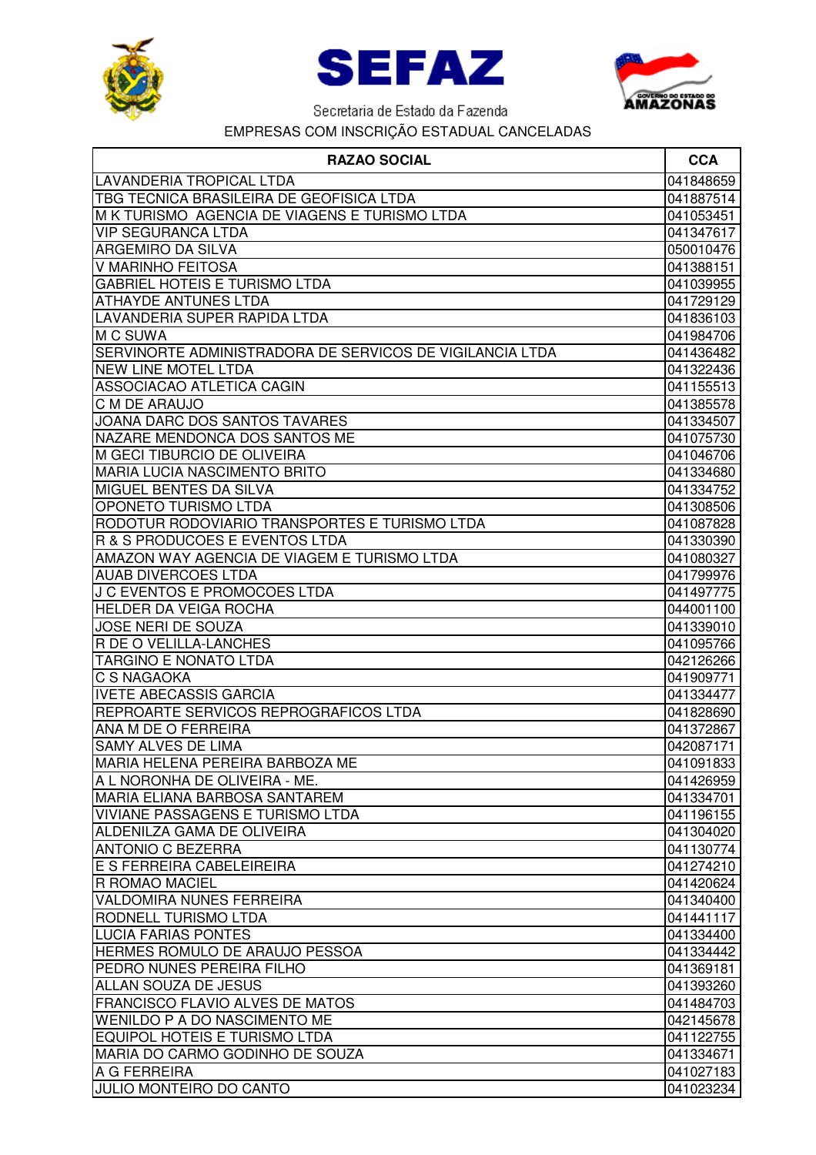





| <b>RAZAO SOCIAL</b>                                      | <b>CCA</b>             |
|----------------------------------------------------------|------------------------|
| LAVANDERIA TROPICAL LTDA                                 | 041848659              |
| TBG TECNICA BRASILEIRA DE GEOFISICA LTDA                 | 041887514              |
| M K TURISMO AGENCIA DE VIAGENS E TURISMO LTDA            | 041053451              |
| <b>VIP SEGURANCA LTDA</b>                                | 041347617              |
| ARGEMIRO DA SILVA                                        | 050010476              |
| V MARINHO FEITOSA                                        | 041388151              |
| <b>GABRIEL HOTEIS E TURISMO LTDA</b>                     | 041039955              |
| <b>ATHAYDE ANTUNES LTDA</b>                              | 041729129              |
| LAVANDERIA SUPER RAPIDA LTDA                             | 041836103              |
| M C SUWA                                                 | 041984706              |
| SERVINORTE ADMINISTRADORA DE SERVICOS DE VIGILANCIA LTDA | 041436482              |
| NEW LINE MOTEL LTDA                                      | 041322436              |
| ASSOCIACAO ATLETICA CAGIN                                | 041155513              |
| C M DE ARAUJO                                            | 041385578              |
| JOANA DARC DOS SANTOS TAVARES                            | 041334507              |
| NAZARE MENDONCA DOS SANTOS ME                            | 041075730              |
| <b>M GECI TIBURCIO DE OLIVEIRA</b>                       | 041046706              |
| <b>MARIA LUCIA NASCIMENTO BRITO</b>                      | 041334680              |
| MIGUEL BENTES DA SILVA                                   | 041334752              |
| <b>OPONETO TURISMO LTDA</b>                              | 041308506              |
| RODOTUR RODOVIARIO TRANSPORTES E TURISMO LTDA            | 041087828              |
| R & S PRODUCOES E EVENTOS LTDA                           | 041330390              |
| AMAZON WAY AGENCIA DE VIAGEM E TURISMO LTDA              | 041080327              |
| <b>AUAB DIVERCOES LTDA</b>                               | 041799976              |
| J C EVENTOS E PROMOCOES LTDA                             | 041497775              |
| <b>HELDER DA VEIGA ROCHA</b>                             | 044001100              |
| JOSE NERI DE SOUZA                                       | 041339010              |
| R DE O VELILLA-LANCHES                                   | 041095766              |
| <b>TARGINO E NONATO LTDA</b>                             | 042126266              |
| C S NAGAOKA                                              | 041909771              |
| <b>IVETE ABECASSIS GARCIA</b>                            | 041334477              |
| REPROARTE SERVICOS REPROGRAFICOS LTDA                    | 041828690              |
| ANA M DE O FERREIRA                                      | 041372867              |
| <b>SAMY ALVES DE LIMA</b>                                | 042087171              |
| IMARIA HELENA PEREIRA BARBOZA ME                         | 041091833              |
| A L NORONHA DE OLIVEIRA - ME.                            | 041426959              |
| MARIA ELIANA BARBOSA SANTAREM                            | 041334701              |
| <b>VIVIANE PASSAGENS E TURISMO LTDA</b>                  | 041196155              |
| ALDENILZA GAMA DE OLIVEIRA                               | 041304020              |
| <b>ANTONIO C BEZERRA</b>                                 | 041130774              |
| E S FERREIRA CABELEIREIRA                                | 041274210              |
| <b>R ROMAO MACIEL</b>                                    | 041420624              |
| <b>VALDOMIRA NUNES FERREIRA</b>                          | 041340400              |
| <b>RODNELL TURISMO LTDA</b>                              | 041441117              |
| <b>LUCIA FARIAS PONTES</b>                               | 041334400              |
| <b>HERMES ROMULO DE ARAUJO PESSOA</b>                    | 041334442              |
| PEDRO NUNES PEREIRA FILHO                                | 041369181              |
| ALLAN SOUZA DE JESUS                                     | 041393260              |
| <b>FRANCISCO FLAVIO ALVES DE MATOS</b>                   | 041484703              |
| <b>WENILDO P A DO NASCIMENTO ME</b>                      | 042145678              |
| <b>EQUIPOL HOTEIS E TURISMO LTDA</b>                     | 041122755              |
| MARIA DO CARMO GODINHO DE SOUZA<br>A G FERREIRA          | 041334671<br>041027183 |
| JULIO MONTEIRO DO CANTO                                  | 041023234              |
|                                                          |                        |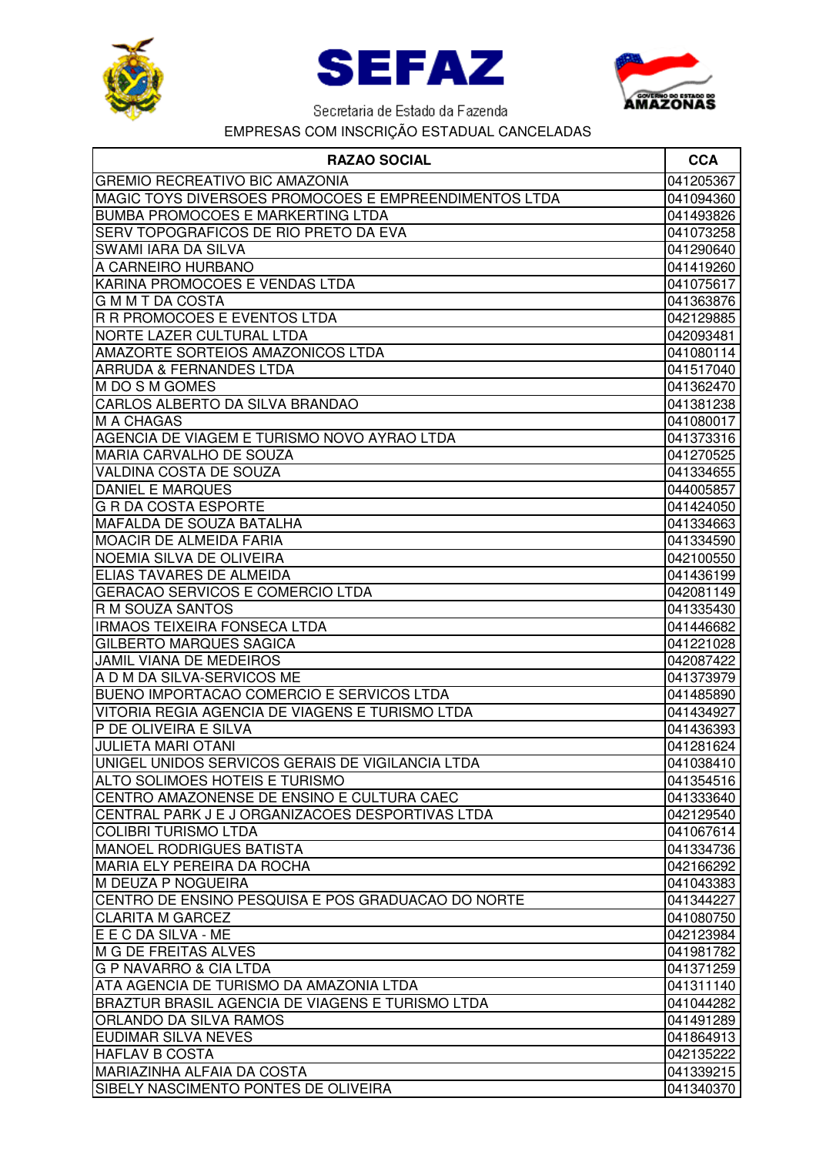





| <b>GREMIO RECREATIVO BIC AMAZONIA</b><br>041205367<br>MAGIC TOYS DIVERSOES PROMOCOES E EMPREENDIMENTOS LTDA<br>041094360<br><b>BUMBA PROMOCOES E MARKERTING LTDA</b><br>041493826<br>SERV TOPOGRAFICOS DE RIO PRETO DA EVA<br>041073258<br><b>SWAMI IARA DA SILVA</b><br>041290640<br>A CARNEIRO HURBANO<br>041419260<br>KARINA PROMOCOES E VENDAS LTDA<br>041075617<br><b>GMMTDACOSTA</b><br>041363876<br>R R PROMOCOES E EVENTOS LTDA<br>042129885<br>NORTE LAZER CULTURAL LTDA<br>042093481<br>041080114<br><b>ARRUDA &amp; FERNANDES LTDA</b><br>041517040<br>M DO S M GOMES<br>041362470<br>CARLOS ALBERTO DA SILVA BRANDAO<br>041381238<br><b>M A CHAGAS</b><br>041080017<br>AGENCIA DE VIAGEM E TURISMO NOVO AYRAO LTDA<br>041373316<br>MARIA CARVALHO DE SOUZA<br>041270525<br>VALDINA COSTA DE SOUZA<br>041334655<br><b>DANIEL E MARQUES</b><br>044005857<br><b>G R DA COSTA ESPORTE</b><br>041424050<br><b>MAFALDA DE SOUZA BATALHA</b><br>041334663<br><b>MOACIR DE ALMEIDA FARIA</b><br>041334590<br>NOEMIA SILVA DE OLIVEIRA<br>042100550<br>ELIAS TAVARES DE ALMEIDA<br>041436199<br><b>GERACAO SERVICOS E COMERCIO LTDA</b><br>042081149<br><b>R M SOUZA SANTOS</b><br>041335430<br><b>IRMAOS TEIXEIRA FONSECA LTDA</b><br>041446682<br><b>GILBERTO MARQUES SAGICA</b><br>041221028<br><b>JAMIL VIANA DE MEDEIROS</b><br>042087422<br>A D M DA SILVA-SERVICOS ME<br>041373979<br><b>BUENO IMPORTACAO COMERCIO E SERVICOS LTDA</b><br>041485890<br>VITORIA REGIA AGENCIA DE VIAGENS E TURISMO LTDA<br>041434927<br>IP DE OLIVEIRA E SILVA<br>041436393<br><b>JULIETA MARI OTANI</b><br>041281624<br><b>IUNIGEL UNIDOS SERVICOS GERAIS DE VIGILANCIA LTDA</b><br>041038410<br><b>ALTO SOLIMOES HOTEIS E TURISMO</b><br>041354516<br>CENTRO AMAZONENSE DE ENSINO E CULTURA CAEC<br>041333640<br>CENTRAL PARK J E J ORGANIZACOES DESPORTIVAS LTDA<br>042129540<br><b>COLIBRI TURISMO LTDA</b><br>041067614<br><b>MANOEL RODRIGUES BATISTA</b><br>041334736<br><b>MARIA ELY PEREIRA DA ROCHA</b><br>042166292<br>M DEUZA P NOGUEIRA<br>041043383<br>CENTRO DE ENSINO PESQUISA E POS GRADUACAO DO NORTE<br>041344227<br><b>CLARITA M GARCEZ</b><br>041080750<br>E E C DA SILVA - ME<br>042123984<br>M G DE FREITAS ALVES<br>041981782<br><b>G P NAVARRO &amp; CIA LTDA</b><br>041371259<br>ATA AGENCIA DE TURISMO DA AMAZONIA LTDA<br>041311140<br>BRAZTUR BRASIL AGENCIA DE VIAGENS E TURISMO LTDA<br>041044282<br><b>ORLANDO DA SILVA RAMOS</b><br>041491289<br><b>EUDIMAR SILVA NEVES</b><br>041864913<br><b>HAFLAV B COSTA</b><br>042135222<br><b>MARIAZINHA ALFAIA DA COSTA</b><br>041339215 | <b>RAZAO SOCIAL</b>                      | <b>CCA</b> |
|------------------------------------------------------------------------------------------------------------------------------------------------------------------------------------------------------------------------------------------------------------------------------------------------------------------------------------------------------------------------------------------------------------------------------------------------------------------------------------------------------------------------------------------------------------------------------------------------------------------------------------------------------------------------------------------------------------------------------------------------------------------------------------------------------------------------------------------------------------------------------------------------------------------------------------------------------------------------------------------------------------------------------------------------------------------------------------------------------------------------------------------------------------------------------------------------------------------------------------------------------------------------------------------------------------------------------------------------------------------------------------------------------------------------------------------------------------------------------------------------------------------------------------------------------------------------------------------------------------------------------------------------------------------------------------------------------------------------------------------------------------------------------------------------------------------------------------------------------------------------------------------------------------------------------------------------------------------------------------------------------------------------------------------------------------------------------------------------------------------------------------------------------------------------------------------------------------------------------------------------------------------------------------------------------------------------------------------------------------------------------------------------------------------------------------------------------------------------------------------------------------------------------------------------------------------------------------------------------------|------------------------------------------|------------|
|                                                                                                                                                                                                                                                                                                                                                                                                                                                                                                                                                                                                                                                                                                                                                                                                                                                                                                                                                                                                                                                                                                                                                                                                                                                                                                                                                                                                                                                                                                                                                                                                                                                                                                                                                                                                                                                                                                                                                                                                                                                                                                                                                                                                                                                                                                                                                                                                                                                                                                                                                                                                            |                                          |            |
|                                                                                                                                                                                                                                                                                                                                                                                                                                                                                                                                                                                                                                                                                                                                                                                                                                                                                                                                                                                                                                                                                                                                                                                                                                                                                                                                                                                                                                                                                                                                                                                                                                                                                                                                                                                                                                                                                                                                                                                                                                                                                                                                                                                                                                                                                                                                                                                                                                                                                                                                                                                                            |                                          |            |
|                                                                                                                                                                                                                                                                                                                                                                                                                                                                                                                                                                                                                                                                                                                                                                                                                                                                                                                                                                                                                                                                                                                                                                                                                                                                                                                                                                                                                                                                                                                                                                                                                                                                                                                                                                                                                                                                                                                                                                                                                                                                                                                                                                                                                                                                                                                                                                                                                                                                                                                                                                                                            |                                          |            |
|                                                                                                                                                                                                                                                                                                                                                                                                                                                                                                                                                                                                                                                                                                                                                                                                                                                                                                                                                                                                                                                                                                                                                                                                                                                                                                                                                                                                                                                                                                                                                                                                                                                                                                                                                                                                                                                                                                                                                                                                                                                                                                                                                                                                                                                                                                                                                                                                                                                                                                                                                                                                            |                                          |            |
|                                                                                                                                                                                                                                                                                                                                                                                                                                                                                                                                                                                                                                                                                                                                                                                                                                                                                                                                                                                                                                                                                                                                                                                                                                                                                                                                                                                                                                                                                                                                                                                                                                                                                                                                                                                                                                                                                                                                                                                                                                                                                                                                                                                                                                                                                                                                                                                                                                                                                                                                                                                                            |                                          |            |
|                                                                                                                                                                                                                                                                                                                                                                                                                                                                                                                                                                                                                                                                                                                                                                                                                                                                                                                                                                                                                                                                                                                                                                                                                                                                                                                                                                                                                                                                                                                                                                                                                                                                                                                                                                                                                                                                                                                                                                                                                                                                                                                                                                                                                                                                                                                                                                                                                                                                                                                                                                                                            |                                          |            |
|                                                                                                                                                                                                                                                                                                                                                                                                                                                                                                                                                                                                                                                                                                                                                                                                                                                                                                                                                                                                                                                                                                                                                                                                                                                                                                                                                                                                                                                                                                                                                                                                                                                                                                                                                                                                                                                                                                                                                                                                                                                                                                                                                                                                                                                                                                                                                                                                                                                                                                                                                                                                            |                                          |            |
|                                                                                                                                                                                                                                                                                                                                                                                                                                                                                                                                                                                                                                                                                                                                                                                                                                                                                                                                                                                                                                                                                                                                                                                                                                                                                                                                                                                                                                                                                                                                                                                                                                                                                                                                                                                                                                                                                                                                                                                                                                                                                                                                                                                                                                                                                                                                                                                                                                                                                                                                                                                                            |                                          |            |
|                                                                                                                                                                                                                                                                                                                                                                                                                                                                                                                                                                                                                                                                                                                                                                                                                                                                                                                                                                                                                                                                                                                                                                                                                                                                                                                                                                                                                                                                                                                                                                                                                                                                                                                                                                                                                                                                                                                                                                                                                                                                                                                                                                                                                                                                                                                                                                                                                                                                                                                                                                                                            |                                          |            |
|                                                                                                                                                                                                                                                                                                                                                                                                                                                                                                                                                                                                                                                                                                                                                                                                                                                                                                                                                                                                                                                                                                                                                                                                                                                                                                                                                                                                                                                                                                                                                                                                                                                                                                                                                                                                                                                                                                                                                                                                                                                                                                                                                                                                                                                                                                                                                                                                                                                                                                                                                                                                            |                                          |            |
|                                                                                                                                                                                                                                                                                                                                                                                                                                                                                                                                                                                                                                                                                                                                                                                                                                                                                                                                                                                                                                                                                                                                                                                                                                                                                                                                                                                                                                                                                                                                                                                                                                                                                                                                                                                                                                                                                                                                                                                                                                                                                                                                                                                                                                                                                                                                                                                                                                                                                                                                                                                                            | <b>AMAZORTE SORTEIOS AMAZONICOS LTDA</b> |            |
|                                                                                                                                                                                                                                                                                                                                                                                                                                                                                                                                                                                                                                                                                                                                                                                                                                                                                                                                                                                                                                                                                                                                                                                                                                                                                                                                                                                                                                                                                                                                                                                                                                                                                                                                                                                                                                                                                                                                                                                                                                                                                                                                                                                                                                                                                                                                                                                                                                                                                                                                                                                                            |                                          |            |
|                                                                                                                                                                                                                                                                                                                                                                                                                                                                                                                                                                                                                                                                                                                                                                                                                                                                                                                                                                                                                                                                                                                                                                                                                                                                                                                                                                                                                                                                                                                                                                                                                                                                                                                                                                                                                                                                                                                                                                                                                                                                                                                                                                                                                                                                                                                                                                                                                                                                                                                                                                                                            |                                          |            |
|                                                                                                                                                                                                                                                                                                                                                                                                                                                                                                                                                                                                                                                                                                                                                                                                                                                                                                                                                                                                                                                                                                                                                                                                                                                                                                                                                                                                                                                                                                                                                                                                                                                                                                                                                                                                                                                                                                                                                                                                                                                                                                                                                                                                                                                                                                                                                                                                                                                                                                                                                                                                            |                                          |            |
|                                                                                                                                                                                                                                                                                                                                                                                                                                                                                                                                                                                                                                                                                                                                                                                                                                                                                                                                                                                                                                                                                                                                                                                                                                                                                                                                                                                                                                                                                                                                                                                                                                                                                                                                                                                                                                                                                                                                                                                                                                                                                                                                                                                                                                                                                                                                                                                                                                                                                                                                                                                                            |                                          |            |
|                                                                                                                                                                                                                                                                                                                                                                                                                                                                                                                                                                                                                                                                                                                                                                                                                                                                                                                                                                                                                                                                                                                                                                                                                                                                                                                                                                                                                                                                                                                                                                                                                                                                                                                                                                                                                                                                                                                                                                                                                                                                                                                                                                                                                                                                                                                                                                                                                                                                                                                                                                                                            |                                          |            |
|                                                                                                                                                                                                                                                                                                                                                                                                                                                                                                                                                                                                                                                                                                                                                                                                                                                                                                                                                                                                                                                                                                                                                                                                                                                                                                                                                                                                                                                                                                                                                                                                                                                                                                                                                                                                                                                                                                                                                                                                                                                                                                                                                                                                                                                                                                                                                                                                                                                                                                                                                                                                            |                                          |            |
|                                                                                                                                                                                                                                                                                                                                                                                                                                                                                                                                                                                                                                                                                                                                                                                                                                                                                                                                                                                                                                                                                                                                                                                                                                                                                                                                                                                                                                                                                                                                                                                                                                                                                                                                                                                                                                                                                                                                                                                                                                                                                                                                                                                                                                                                                                                                                                                                                                                                                                                                                                                                            |                                          |            |
|                                                                                                                                                                                                                                                                                                                                                                                                                                                                                                                                                                                                                                                                                                                                                                                                                                                                                                                                                                                                                                                                                                                                                                                                                                                                                                                                                                                                                                                                                                                                                                                                                                                                                                                                                                                                                                                                                                                                                                                                                                                                                                                                                                                                                                                                                                                                                                                                                                                                                                                                                                                                            |                                          |            |
|                                                                                                                                                                                                                                                                                                                                                                                                                                                                                                                                                                                                                                                                                                                                                                                                                                                                                                                                                                                                                                                                                                                                                                                                                                                                                                                                                                                                                                                                                                                                                                                                                                                                                                                                                                                                                                                                                                                                                                                                                                                                                                                                                                                                                                                                                                                                                                                                                                                                                                                                                                                                            |                                          |            |
|                                                                                                                                                                                                                                                                                                                                                                                                                                                                                                                                                                                                                                                                                                                                                                                                                                                                                                                                                                                                                                                                                                                                                                                                                                                                                                                                                                                                                                                                                                                                                                                                                                                                                                                                                                                                                                                                                                                                                                                                                                                                                                                                                                                                                                                                                                                                                                                                                                                                                                                                                                                                            |                                          |            |
|                                                                                                                                                                                                                                                                                                                                                                                                                                                                                                                                                                                                                                                                                                                                                                                                                                                                                                                                                                                                                                                                                                                                                                                                                                                                                                                                                                                                                                                                                                                                                                                                                                                                                                                                                                                                                                                                                                                                                                                                                                                                                                                                                                                                                                                                                                                                                                                                                                                                                                                                                                                                            |                                          |            |
|                                                                                                                                                                                                                                                                                                                                                                                                                                                                                                                                                                                                                                                                                                                                                                                                                                                                                                                                                                                                                                                                                                                                                                                                                                                                                                                                                                                                                                                                                                                                                                                                                                                                                                                                                                                                                                                                                                                                                                                                                                                                                                                                                                                                                                                                                                                                                                                                                                                                                                                                                                                                            |                                          |            |
|                                                                                                                                                                                                                                                                                                                                                                                                                                                                                                                                                                                                                                                                                                                                                                                                                                                                                                                                                                                                                                                                                                                                                                                                                                                                                                                                                                                                                                                                                                                                                                                                                                                                                                                                                                                                                                                                                                                                                                                                                                                                                                                                                                                                                                                                                                                                                                                                                                                                                                                                                                                                            |                                          |            |
|                                                                                                                                                                                                                                                                                                                                                                                                                                                                                                                                                                                                                                                                                                                                                                                                                                                                                                                                                                                                                                                                                                                                                                                                                                                                                                                                                                                                                                                                                                                                                                                                                                                                                                                                                                                                                                                                                                                                                                                                                                                                                                                                                                                                                                                                                                                                                                                                                                                                                                                                                                                                            |                                          |            |
|                                                                                                                                                                                                                                                                                                                                                                                                                                                                                                                                                                                                                                                                                                                                                                                                                                                                                                                                                                                                                                                                                                                                                                                                                                                                                                                                                                                                                                                                                                                                                                                                                                                                                                                                                                                                                                                                                                                                                                                                                                                                                                                                                                                                                                                                                                                                                                                                                                                                                                                                                                                                            |                                          |            |
|                                                                                                                                                                                                                                                                                                                                                                                                                                                                                                                                                                                                                                                                                                                                                                                                                                                                                                                                                                                                                                                                                                                                                                                                                                                                                                                                                                                                                                                                                                                                                                                                                                                                                                                                                                                                                                                                                                                                                                                                                                                                                                                                                                                                                                                                                                                                                                                                                                                                                                                                                                                                            |                                          |            |
|                                                                                                                                                                                                                                                                                                                                                                                                                                                                                                                                                                                                                                                                                                                                                                                                                                                                                                                                                                                                                                                                                                                                                                                                                                                                                                                                                                                                                                                                                                                                                                                                                                                                                                                                                                                                                                                                                                                                                                                                                                                                                                                                                                                                                                                                                                                                                                                                                                                                                                                                                                                                            |                                          |            |
|                                                                                                                                                                                                                                                                                                                                                                                                                                                                                                                                                                                                                                                                                                                                                                                                                                                                                                                                                                                                                                                                                                                                                                                                                                                                                                                                                                                                                                                                                                                                                                                                                                                                                                                                                                                                                                                                                                                                                                                                                                                                                                                                                                                                                                                                                                                                                                                                                                                                                                                                                                                                            |                                          |            |
|                                                                                                                                                                                                                                                                                                                                                                                                                                                                                                                                                                                                                                                                                                                                                                                                                                                                                                                                                                                                                                                                                                                                                                                                                                                                                                                                                                                                                                                                                                                                                                                                                                                                                                                                                                                                                                                                                                                                                                                                                                                                                                                                                                                                                                                                                                                                                                                                                                                                                                                                                                                                            |                                          |            |
|                                                                                                                                                                                                                                                                                                                                                                                                                                                                                                                                                                                                                                                                                                                                                                                                                                                                                                                                                                                                                                                                                                                                                                                                                                                                                                                                                                                                                                                                                                                                                                                                                                                                                                                                                                                                                                                                                                                                                                                                                                                                                                                                                                                                                                                                                                                                                                                                                                                                                                                                                                                                            |                                          |            |
|                                                                                                                                                                                                                                                                                                                                                                                                                                                                                                                                                                                                                                                                                                                                                                                                                                                                                                                                                                                                                                                                                                                                                                                                                                                                                                                                                                                                                                                                                                                                                                                                                                                                                                                                                                                                                                                                                                                                                                                                                                                                                                                                                                                                                                                                                                                                                                                                                                                                                                                                                                                                            |                                          |            |
|                                                                                                                                                                                                                                                                                                                                                                                                                                                                                                                                                                                                                                                                                                                                                                                                                                                                                                                                                                                                                                                                                                                                                                                                                                                                                                                                                                                                                                                                                                                                                                                                                                                                                                                                                                                                                                                                                                                                                                                                                                                                                                                                                                                                                                                                                                                                                                                                                                                                                                                                                                                                            |                                          |            |
|                                                                                                                                                                                                                                                                                                                                                                                                                                                                                                                                                                                                                                                                                                                                                                                                                                                                                                                                                                                                                                                                                                                                                                                                                                                                                                                                                                                                                                                                                                                                                                                                                                                                                                                                                                                                                                                                                                                                                                                                                                                                                                                                                                                                                                                                                                                                                                                                                                                                                                                                                                                                            |                                          |            |
|                                                                                                                                                                                                                                                                                                                                                                                                                                                                                                                                                                                                                                                                                                                                                                                                                                                                                                                                                                                                                                                                                                                                                                                                                                                                                                                                                                                                                                                                                                                                                                                                                                                                                                                                                                                                                                                                                                                                                                                                                                                                                                                                                                                                                                                                                                                                                                                                                                                                                                                                                                                                            |                                          |            |
|                                                                                                                                                                                                                                                                                                                                                                                                                                                                                                                                                                                                                                                                                                                                                                                                                                                                                                                                                                                                                                                                                                                                                                                                                                                                                                                                                                                                                                                                                                                                                                                                                                                                                                                                                                                                                                                                                                                                                                                                                                                                                                                                                                                                                                                                                                                                                                                                                                                                                                                                                                                                            |                                          |            |
|                                                                                                                                                                                                                                                                                                                                                                                                                                                                                                                                                                                                                                                                                                                                                                                                                                                                                                                                                                                                                                                                                                                                                                                                                                                                                                                                                                                                                                                                                                                                                                                                                                                                                                                                                                                                                                                                                                                                                                                                                                                                                                                                                                                                                                                                                                                                                                                                                                                                                                                                                                                                            |                                          |            |
|                                                                                                                                                                                                                                                                                                                                                                                                                                                                                                                                                                                                                                                                                                                                                                                                                                                                                                                                                                                                                                                                                                                                                                                                                                                                                                                                                                                                                                                                                                                                                                                                                                                                                                                                                                                                                                                                                                                                                                                                                                                                                                                                                                                                                                                                                                                                                                                                                                                                                                                                                                                                            |                                          |            |
|                                                                                                                                                                                                                                                                                                                                                                                                                                                                                                                                                                                                                                                                                                                                                                                                                                                                                                                                                                                                                                                                                                                                                                                                                                                                                                                                                                                                                                                                                                                                                                                                                                                                                                                                                                                                                                                                                                                                                                                                                                                                                                                                                                                                                                                                                                                                                                                                                                                                                                                                                                                                            |                                          |            |
|                                                                                                                                                                                                                                                                                                                                                                                                                                                                                                                                                                                                                                                                                                                                                                                                                                                                                                                                                                                                                                                                                                                                                                                                                                                                                                                                                                                                                                                                                                                                                                                                                                                                                                                                                                                                                                                                                                                                                                                                                                                                                                                                                                                                                                                                                                                                                                                                                                                                                                                                                                                                            |                                          |            |
|                                                                                                                                                                                                                                                                                                                                                                                                                                                                                                                                                                                                                                                                                                                                                                                                                                                                                                                                                                                                                                                                                                                                                                                                                                                                                                                                                                                                                                                                                                                                                                                                                                                                                                                                                                                                                                                                                                                                                                                                                                                                                                                                                                                                                                                                                                                                                                                                                                                                                                                                                                                                            |                                          |            |
|                                                                                                                                                                                                                                                                                                                                                                                                                                                                                                                                                                                                                                                                                                                                                                                                                                                                                                                                                                                                                                                                                                                                                                                                                                                                                                                                                                                                                                                                                                                                                                                                                                                                                                                                                                                                                                                                                                                                                                                                                                                                                                                                                                                                                                                                                                                                                                                                                                                                                                                                                                                                            |                                          |            |
|                                                                                                                                                                                                                                                                                                                                                                                                                                                                                                                                                                                                                                                                                                                                                                                                                                                                                                                                                                                                                                                                                                                                                                                                                                                                                                                                                                                                                                                                                                                                                                                                                                                                                                                                                                                                                                                                                                                                                                                                                                                                                                                                                                                                                                                                                                                                                                                                                                                                                                                                                                                                            |                                          |            |
|                                                                                                                                                                                                                                                                                                                                                                                                                                                                                                                                                                                                                                                                                                                                                                                                                                                                                                                                                                                                                                                                                                                                                                                                                                                                                                                                                                                                                                                                                                                                                                                                                                                                                                                                                                                                                                                                                                                                                                                                                                                                                                                                                                                                                                                                                                                                                                                                                                                                                                                                                                                                            |                                          |            |
|                                                                                                                                                                                                                                                                                                                                                                                                                                                                                                                                                                                                                                                                                                                                                                                                                                                                                                                                                                                                                                                                                                                                                                                                                                                                                                                                                                                                                                                                                                                                                                                                                                                                                                                                                                                                                                                                                                                                                                                                                                                                                                                                                                                                                                                                                                                                                                                                                                                                                                                                                                                                            |                                          |            |
|                                                                                                                                                                                                                                                                                                                                                                                                                                                                                                                                                                                                                                                                                                                                                                                                                                                                                                                                                                                                                                                                                                                                                                                                                                                                                                                                                                                                                                                                                                                                                                                                                                                                                                                                                                                                                                                                                                                                                                                                                                                                                                                                                                                                                                                                                                                                                                                                                                                                                                                                                                                                            |                                          |            |
|                                                                                                                                                                                                                                                                                                                                                                                                                                                                                                                                                                                                                                                                                                                                                                                                                                                                                                                                                                                                                                                                                                                                                                                                                                                                                                                                                                                                                                                                                                                                                                                                                                                                                                                                                                                                                                                                                                                                                                                                                                                                                                                                                                                                                                                                                                                                                                                                                                                                                                                                                                                                            |                                          |            |
|                                                                                                                                                                                                                                                                                                                                                                                                                                                                                                                                                                                                                                                                                                                                                                                                                                                                                                                                                                                                                                                                                                                                                                                                                                                                                                                                                                                                                                                                                                                                                                                                                                                                                                                                                                                                                                                                                                                                                                                                                                                                                                                                                                                                                                                                                                                                                                                                                                                                                                                                                                                                            |                                          |            |
|                                                                                                                                                                                                                                                                                                                                                                                                                                                                                                                                                                                                                                                                                                                                                                                                                                                                                                                                                                                                                                                                                                                                                                                                                                                                                                                                                                                                                                                                                                                                                                                                                                                                                                                                                                                                                                                                                                                                                                                                                                                                                                                                                                                                                                                                                                                                                                                                                                                                                                                                                                                                            |                                          |            |
|                                                                                                                                                                                                                                                                                                                                                                                                                                                                                                                                                                                                                                                                                                                                                                                                                                                                                                                                                                                                                                                                                                                                                                                                                                                                                                                                                                                                                                                                                                                                                                                                                                                                                                                                                                                                                                                                                                                                                                                                                                                                                                                                                                                                                                                                                                                                                                                                                                                                                                                                                                                                            |                                          |            |
|                                                                                                                                                                                                                                                                                                                                                                                                                                                                                                                                                                                                                                                                                                                                                                                                                                                                                                                                                                                                                                                                                                                                                                                                                                                                                                                                                                                                                                                                                                                                                                                                                                                                                                                                                                                                                                                                                                                                                                                                                                                                                                                                                                                                                                                                                                                                                                                                                                                                                                                                                                                                            |                                          |            |
|                                                                                                                                                                                                                                                                                                                                                                                                                                                                                                                                                                                                                                                                                                                                                                                                                                                                                                                                                                                                                                                                                                                                                                                                                                                                                                                                                                                                                                                                                                                                                                                                                                                                                                                                                                                                                                                                                                                                                                                                                                                                                                                                                                                                                                                                                                                                                                                                                                                                                                                                                                                                            |                                          |            |
|                                                                                                                                                                                                                                                                                                                                                                                                                                                                                                                                                                                                                                                                                                                                                                                                                                                                                                                                                                                                                                                                                                                                                                                                                                                                                                                                                                                                                                                                                                                                                                                                                                                                                                                                                                                                                                                                                                                                                                                                                                                                                                                                                                                                                                                                                                                                                                                                                                                                                                                                                                                                            | SIBELY NASCIMENTO PONTES DE OLIVEIRA     | 041340370  |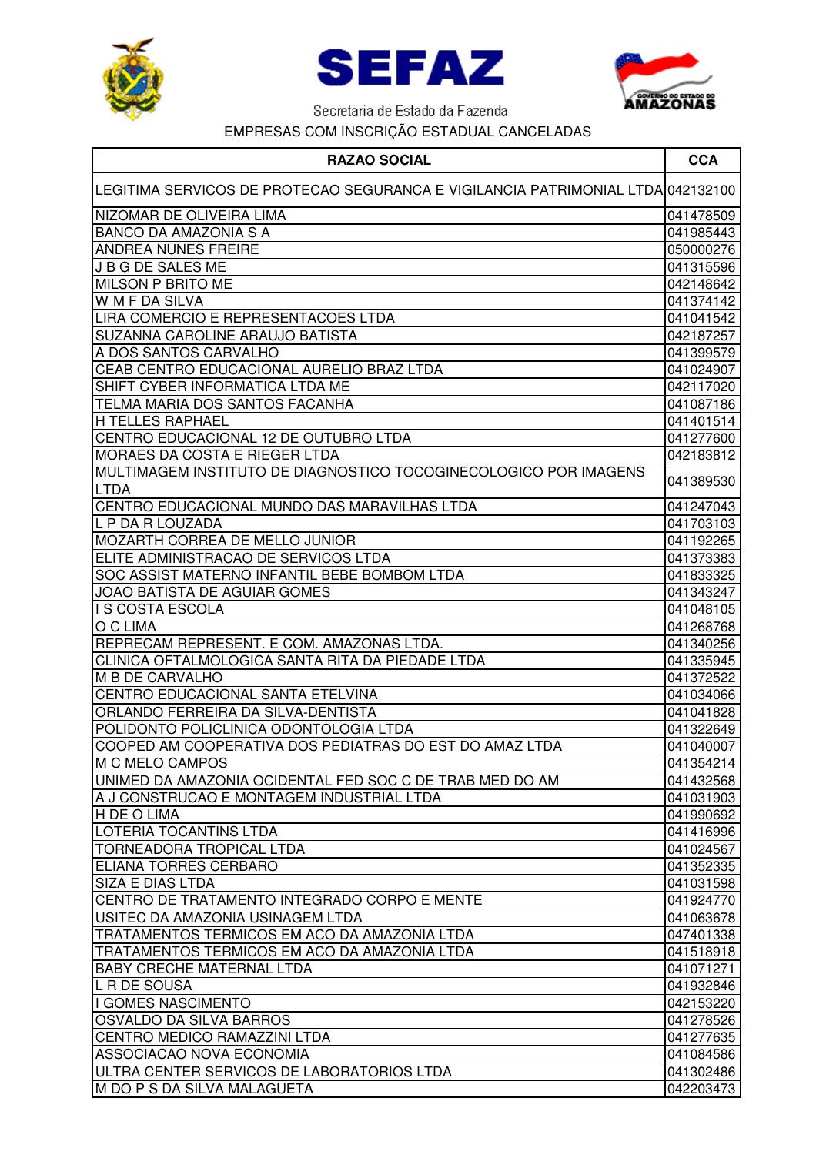





| <b>RAZAO SOCIAL</b>                                                             | <b>CCA</b> |
|---------------------------------------------------------------------------------|------------|
| LEGITIMA SERVICOS DE PROTECAO SEGURANCA E VIGILANCIA PATRIMONIAL LTDA 042132100 |            |
| NIZOMAR DE OLIVEIRA LIMA                                                        | 041478509  |
| <b>BANCO DA AMAZONIA S A</b>                                                    | 041985443  |
| <b>ANDREA NUNES FREIRE</b>                                                      | 050000276  |
| J B G DE SALES ME                                                               | 041315596  |
| <b>MILSON P BRITO ME</b>                                                        | 042148642  |
| W M F DA SILVA                                                                  | 041374142  |
| LIRA COMERCIO E REPRESENTACOES LTDA                                             | 041041542  |
| <b>SUZANNA CAROLINE ARAUJO BATISTA</b>                                          | 042187257  |
| A DOS SANTOS CARVALHO                                                           | 041399579  |
| CEAB CENTRO EDUCACIONAL AURELIO BRAZ LTDA                                       | 041024907  |
| SHIFT CYBER INFORMATICA LTDA ME                                                 | 042117020  |
| TELMA MARIA DOS SANTOS FACANHA                                                  | 041087186  |
| <b>H TELLES RAPHAEL</b>                                                         | 041401514  |
| CENTRO EDUCACIONAL 12 DE OUTUBRO LTDA                                           | 041277600  |
| <b>MORAES DA COSTA E RIEGER LTDA</b>                                            | 042183812  |
| MULTIMAGEM INSTITUTO DE DIAGNOSTICO TOCOGINECOLOGICO POR IMAGENS                |            |
| <b>LTDA</b>                                                                     | 041389530  |
| CENTRO EDUCACIONAL MUNDO DAS MARAVILHAS LTDA                                    | 041247043  |
| L P DA R LOUZADA                                                                | 041703103  |
| <b>MOZARTH CORREA DE MELLO JUNIOR</b>                                           | 041192265  |
| ELITE ADMINISTRACAO DE SERVICOS LTDA                                            | 041373383  |
| SOC ASSIST MATERNO INFANTIL BEBE BOMBOM LTDA                                    | 041833325  |
| JOAO BATISTA DE AGUIAR GOMES                                                    | 041343247  |
| <b>I S COSTA ESCOLA</b>                                                         | 041048105  |
| O C LIMA                                                                        | 041268768  |
| REPRECAM REPRESENT. E COM. AMAZONAS LTDA.                                       | 041340256  |
| CLINICA OFTALMOLOGICA SANTA RITA DA PIEDADE LTDA                                | 041335945  |
| <b>M B DE CARVALHO</b>                                                          | 041372522  |
| CENTRO EDUCACIONAL SANTA ETELVINA                                               | 041034066  |
| ORLANDO FERREIRA DA SILVA-DENTISTA                                              | 041041828  |
| POLIDONTO POLICLINICA ODONTOLOGIA LTDA                                          | 041322649  |
| COOPED AM COOPERATIVA DOS PEDIATRAS DO EST DO AMAZ LTDA                         | 041040007  |
| IM C MELO CAMPOS                                                                | 041354214  |
| UNIMED DA AMAZONIA OCIDENTAL FED SOC C DE TRAB MED DO AM                        | 041432568  |
| A J CONSTRUCAO E MONTAGEM INDUSTRIAL LTDA                                       | 041031903  |
| H DE O LIMA                                                                     | 041990692  |
| LOTERIA TOCANTINS LTDA                                                          | 041416996  |
| <b>TORNEADORA TROPICAL LTDA</b>                                                 | 041024567  |
| <b>ELIANA TORRES CERBARO</b>                                                    | 041352335  |
| <b>SIZA E DIAS LTDA</b>                                                         | 041031598  |
| CENTRO DE TRATAMENTO INTEGRADO CORPO E MENTE                                    | 041924770  |
| USITEC DA AMAZONIA USINAGEM LTDA                                                | 041063678  |
| TRATAMENTOS TERMICOS EM ACO DA AMAZONIA LTDA                                    | 047401338  |
| TRATAMENTOS TERMICOS EM ACO DA AMAZONIA LTDA                                    | 041518918  |
| <b>BABY CRECHE MATERNAL LTDA</b>                                                | 041071271  |
| L R DE SOUSA                                                                    | 041932846  |
| I GOMES NASCIMENTO                                                              | 042153220  |
| <b>OSVALDO DA SILVA BARROS</b>                                                  | 041278526  |
| CENTRO MEDICO RAMAZZINI LTDA                                                    | 041277635  |
| ASSOCIACAO NOVA ECONOMIA                                                        | 041084586  |
| ULTRA CENTER SERVICOS DE LABORATORIOS LTDA                                      | 041302486  |
| M DO P S DA SILVA MALAGUETA                                                     | 042203473  |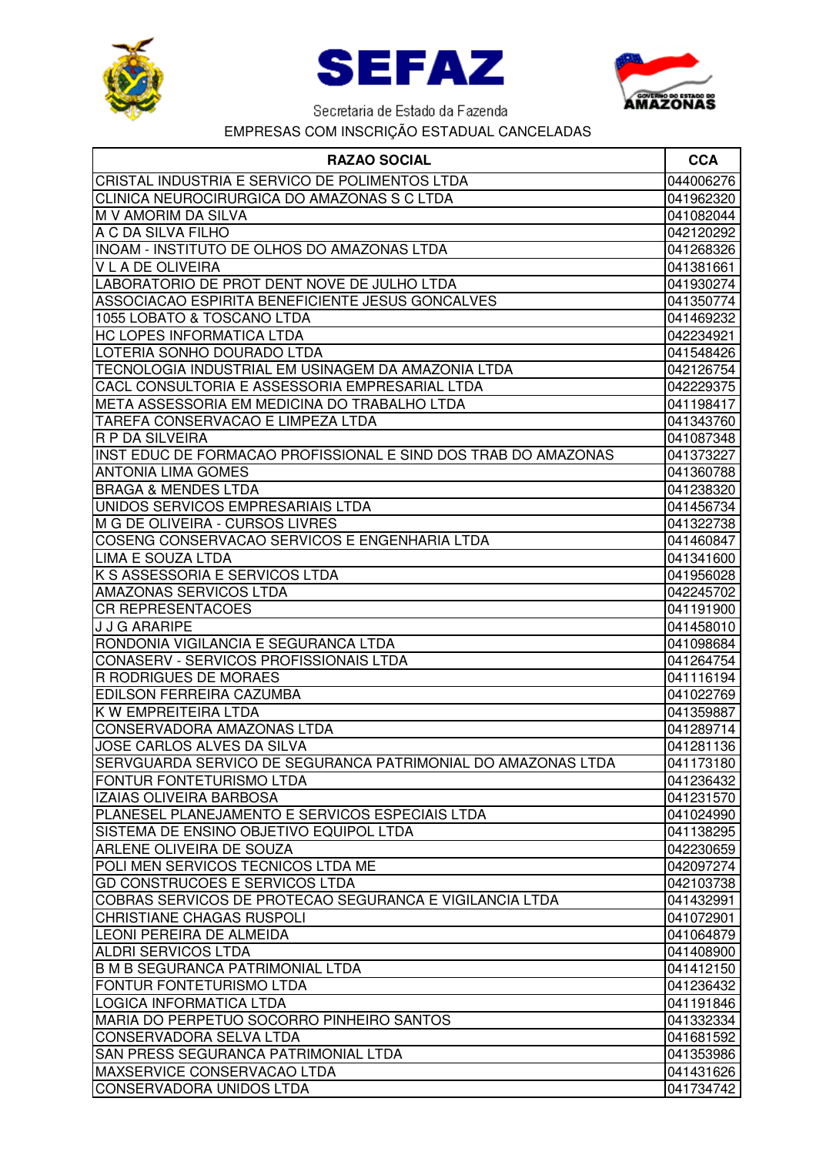





| <b>RAZAO SOCIAL</b>                                            | <b>CCA</b> |
|----------------------------------------------------------------|------------|
| CRISTAL INDUSTRIA E SERVICO DE POLIMENTOS LTDA                 | 044006276  |
| CLINICA NEUROCIRURGICA DO AMAZONAS S C LTDA                    | 041962320  |
| M V AMORIM DA SILVA                                            | 041082044  |
| A C DA SILVA FILHO                                             | 042120292  |
| <b>INOAM - INSTITUTO DE OLHOS DO AMAZONAS LTDA</b>             | 041268326  |
| <b>V L A DE OLIVEIRA</b>                                       | 041381661  |
| LABORATORIO DE PROT DENT NOVE DE JULHO LTDA                    | 041930274  |
| ASSOCIACAO ESPIRITA BENEFICIENTE JESUS GONCALVES               | 041350774  |
| 1055 LOBATO & TOSCANO LTDA                                     | 041469232  |
| <b>HC LOPES INFORMATICA LTDA</b>                               | 042234921  |
| LOTERIA SONHO DOURADO LTDA                                     | 041548426  |
| TECNOLOGIA INDUSTRIAL EM USINAGEM DA AMAZONIA LTDA             | 042126754  |
| CACL CONSULTORIA E ASSESSORIA EMPRESARIAL LTDA                 | 042229375  |
| META ASSESSORIA EM MEDICINA DO TRABALHO LTDA                   | 041198417  |
| <b>TAREFA CONSERVACAO E LIMPEZA LTDA</b>                       | 041343760  |
| <b>R P DA SILVEIRA</b>                                         | 041087348  |
| INST EDUC DE FORMACAO PROFISSIONAL E SIND DOS TRAB DO AMAZONAS | 041373227  |
| <b>ANTONIA LIMA GOMES</b>                                      | 041360788  |
| <b>BRAGA &amp; MENDES LTDA</b>                                 | 041238320  |
| UNIDOS SERVICOS EMPRESARIAIS LTDA                              | 041456734  |
| M G DE OLIVEIRA - CURSOS LIVRES                                | 041322738  |
| COSENG CONSERVACAO SERVICOS E ENGENHARIA LTDA                  | 041460847  |
| LIMA E SOUZA LTDA                                              | 041341600  |
| K S ASSESSORIA E SERVICOS LTDA                                 | 041956028  |
| AMAZONAS SERVICOS LTDA                                         | 042245702  |
| <b>CR REPRESENTACOES</b>                                       | 041191900  |
| <b>J J G ARARIPE</b>                                           | 041458010  |
| RONDONIA VIGILANCIA E SEGURANCA LTDA                           | 041098684  |
| CONASERV - SERVICOS PROFISSIONAIS LTDA                         | 041264754  |
| R RODRIGUES DE MORAES                                          | 041116194  |
| <b>EDILSON FERREIRA CAZUMBA</b>                                | 041022769  |
| K W EMPREITEIRA LTDA                                           | 041359887  |
| CONSERVADORA AMAZONAS LTDA                                     | 041289714  |
| JOSE CARLOS ALVES DA SILVA                                     | 041281136  |
| SERVGUARDA SERVICO DE SEGURANCA PATRIMONIAL DO AMAZONAS LTDA   | 041173180  |
| <b>FONTUR FONTETURISMO LTDA</b>                                | 041236432  |
| IZAIAS OLIVEIRA BARBOSA                                        | 041231570  |
| PLANESEL PLANEJAMENTO E SERVICOS ESPECIAIS LTDA                | 041024990  |
| SISTEMA DE ENSINO OBJETIVO EQUIPOL LTDA                        | 041138295  |
| <b>ARLENE OLIVEIRA DE SOUZA</b>                                | 042230659  |
| POLI MEN SERVICOS TECNICOS LTDA ME                             | 042097274  |
| <b>GD CONSTRUCOES E SERVICOS LTDA</b>                          | 042103738  |
| COBRAS SERVICOS DE PROTECAO SEGURANCA E VIGILANCIA LTDA        | 041432991  |
| CHRISTIANE CHAGAS RUSPOLI                                      | 041072901  |
| LEONI PEREIRA DE ALMEIDA                                       | 041064879  |
| <b>ALDRI SERVICOS LTDA</b>                                     | 041408900  |
| B M B SEGURANCA PATRIMONIAL LTDA                               | 041412150  |
| FONTUR FONTETURISMO LTDA                                       | 041236432  |
| LOGICA INFORMATICA LTDA                                        | 041191846  |
| MARIA DO PERPETUO SOCORRO PINHEIRO SANTOS                      | 041332334  |
| CONSERVADORA SELVA LTDA                                        | 041681592  |
| SAN PRESS SEGURANCA PATRIMONIAL LTDA                           | 041353986  |
| <b>MAXSERVICE CONSERVACAO LTDA</b>                             | 041431626  |
| <b>CONSERVADORA UNIDOS LTDA</b>                                | 041734742  |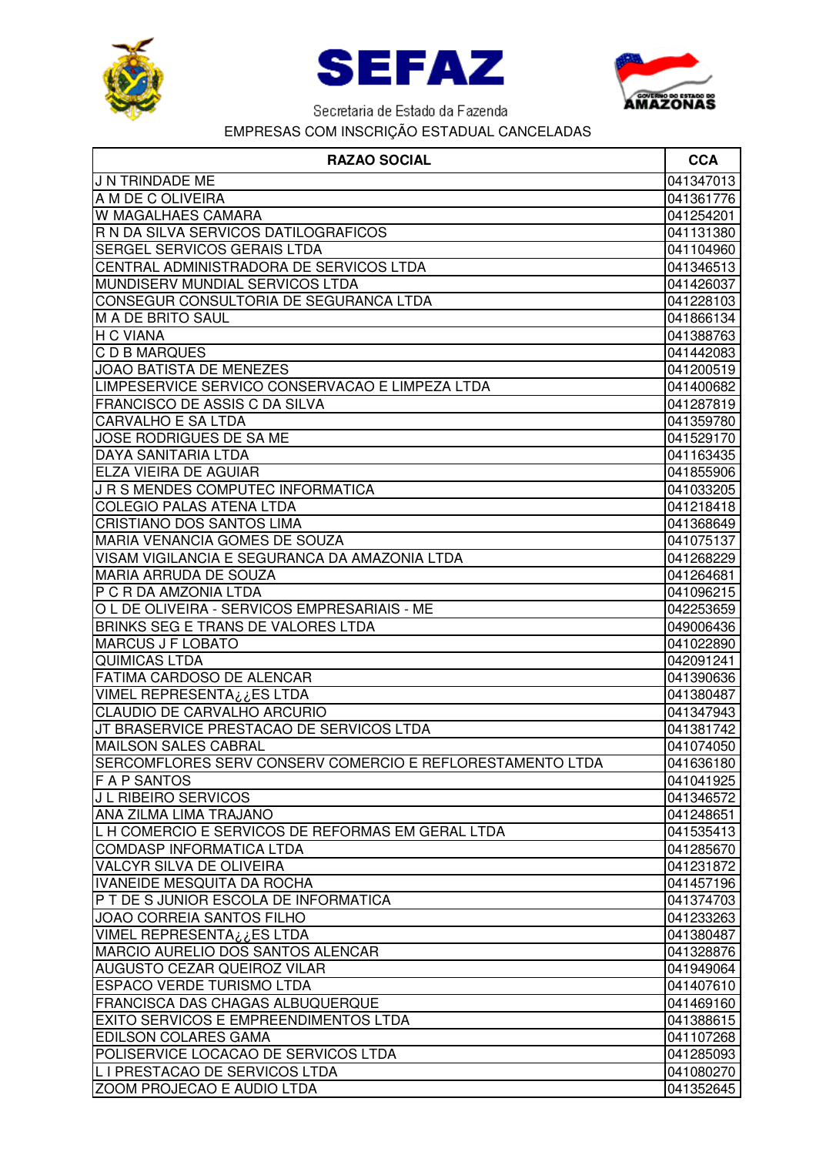





| <b>RAZAO SOCIAL</b>                                                                     | <b>CCA</b>             |
|-----------------------------------------------------------------------------------------|------------------------|
| <b>J N TRINDADE ME</b>                                                                  | 041347013              |
| A M DE C OLIVEIRA                                                                       | 041361776              |
| W MAGALHAES CAMARA                                                                      | 041254201              |
| R N DA SILVA SERVICOS DATILOGRAFICOS                                                    | 041131380              |
| <b>SERGEL SERVICOS GERAIS LTDA</b>                                                      | 041104960              |
| CENTRAL ADMINISTRADORA DE SERVICOS LTDA                                                 | 041346513              |
| MUNDISERV MUNDIAL SERVICOS LTDA                                                         | 041426037              |
| CONSEGUR CONSULTORIA DE SEGURANCA LTDA                                                  | 041228103              |
| M A DE BRITO SAUL                                                                       | 041866134              |
| H C VIANA                                                                               | 041388763              |
| <b>C D B MARQUES</b>                                                                    | 041442083              |
| <b>JOAO BATISTA DE MENEZES</b>                                                          | 041200519              |
| LIMPESERVICE SERVICO CONSERVACAO E LIMPEZA LTDA                                         | 041400682              |
| <b>FRANCISCO DE ASSIS C DA SILVA</b>                                                    | 041287819              |
| <b>CARVALHO E SA LTDA</b>                                                               | 041359780              |
| JOSE RODRIGUES DE SA ME                                                                 | 041529170              |
| <b>DAYA SANITARIA LTDA</b>                                                              | 041163435              |
| <b>ELZA VIEIRA DE AGUIAR</b>                                                            | 041855906              |
| J R S MENDES COMPUTEC INFORMATICA                                                       | 041033205              |
| <b>COLEGIO PALAS ATENA LTDA</b>                                                         | 041218418              |
| CRISTIANO DOS SANTOS LIMA                                                               | 041368649              |
| MARIA VENANCIA GOMES DE SOUZA                                                           | 041075137              |
| VISAM VIGILANCIA E SEGURANCA DA AMAZONIA LTDA                                           | 041268229              |
| MARIA ARRUDA DE SOUZA                                                                   | 041264681              |
| IP C R DA AMZONIA LTDA                                                                  | 041096215              |
| O L DE OLIVEIRA - SERVICOS EMPRESARIAIS - ME                                            | 042253659              |
| BRINKS SEG E TRANS DE VALORES LTDA                                                      | 049006436              |
| <b>MARCUS J F LOBATO</b>                                                                | 041022890              |
| <b>QUIMICAS LTDA</b>                                                                    | 042091241              |
| <b>FATIMA CARDOSO DE ALENCAR</b>                                                        | 041390636              |
| VIMEL REPRESENTA¿¿ES LTDA                                                               | 041380487              |
| CLAUDIO DE CARVALHO ARCURIO                                                             | 041347943              |
| JT BRASERVICE PRESTACAO DE SERVICOS LTDA                                                | 041381742              |
| <b>MAILSON SALES CABRAL</b>                                                             | 041074050              |
| SERCOMFLORES SERV CONSERV COMERCIO E REFLORESTAMENTO LTDA                               | 041636180              |
| <b>FAP SANTOS</b>                                                                       | 041041925              |
| J L RIBEIRO SERVICOS                                                                    | 041346572              |
| ANA ZILMA LIMA TRAJANO                                                                  | 041248651              |
| L H COMERCIO E SERVICOS DE REFORMAS EM GERAL LTDA                                       | 041535413              |
| <b>COMDASP INFORMATICA LTDA</b>                                                         | 041285670              |
| <b>VALCYR SILVA DE OLIVEIRA</b>                                                         | 041231872              |
| <b>IVANEIDE MESQUITA DA ROCHA</b>                                                       | 041457196              |
| P T DE S JUNIOR ESCOLA DE INFORMATICA                                                   | 041374703              |
| JOAO CORREIA SANTOS FILHO                                                               | 041233263              |
| VIMEL REPRESENTA ن ES LTDA                                                              | 041380487              |
| MARCIO AURELIO DOS SANTOS ALENCAR                                                       | 041328876              |
| <b>AUGUSTO CEZAR QUEIROZ VILAR</b>                                                      | 041949064              |
| <b>ESPACO VERDE TURISMO LTDA</b>                                                        | 041407610              |
| <b>FRANCISCA DAS CHAGAS ALBUQUERQUE</b><br><b>EXITO SERVICOS E EMPREENDIMENTOS LTDA</b> | 041469160              |
| <b>EDILSON COLARES GAMA</b>                                                             | 041388615<br>041107268 |
| POLISERVICE LOCACAO DE SERVICOS LTDA                                                    | 041285093              |
| L I PRESTACAO DE SERVICOS LTDA                                                          | 041080270              |
| ZOOM PROJECAO E AUDIO LTDA                                                              | 041352645              |
|                                                                                         |                        |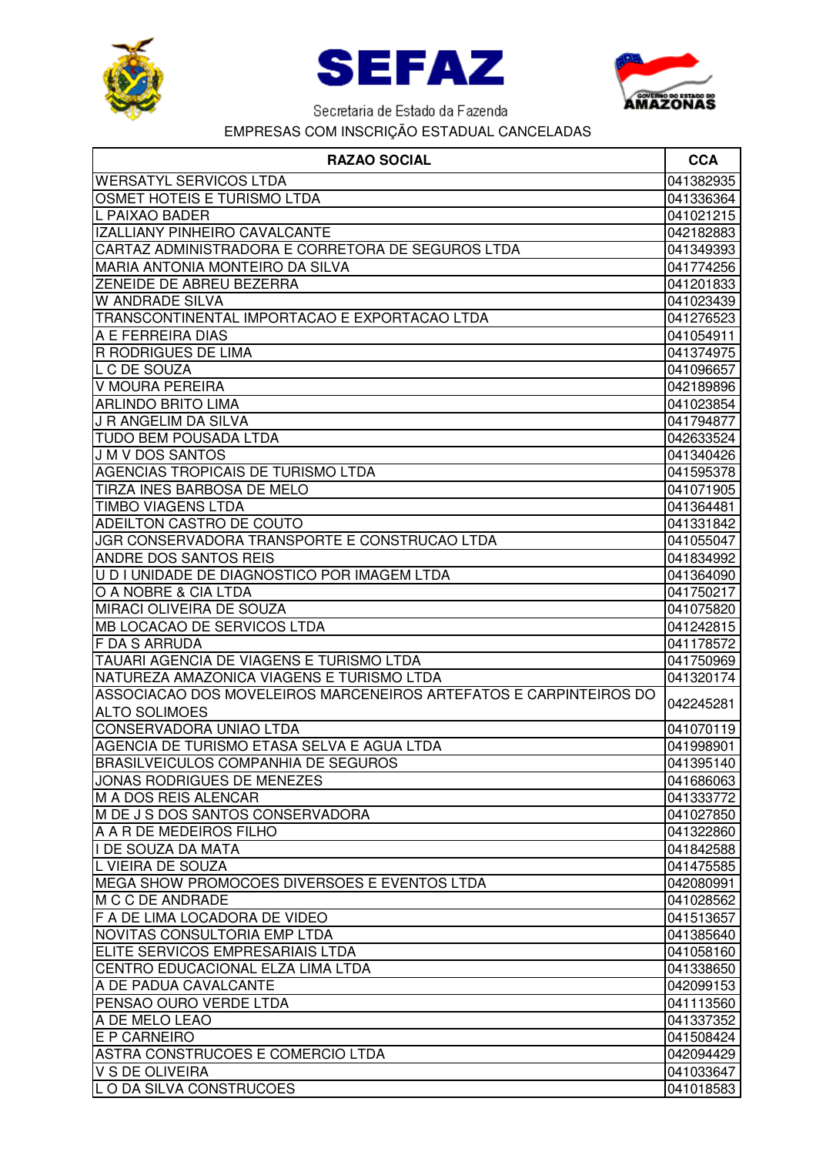





| <b>RAZAO SOCIAL</b>                                                                       | <b>CCA</b>             |
|-------------------------------------------------------------------------------------------|------------------------|
| <b>WERSATYL SERVICOS LTDA</b>                                                             | 041382935              |
| OSMET HOTEIS E TURISMO LTDA                                                               | 041336364              |
| L PAIXAO BADER                                                                            | 041021215              |
| IZALLIANY PINHEIRO CAVALCANTE                                                             | 042182883              |
| CARTAZ ADMINISTRADORA E CORRETORA DE SEGUROS LTDA                                         | 041349393              |
| <b>MARIA ANTONIA MONTEIRO DA SILVA</b>                                                    | 041774256              |
| ZENEIDE DE ABREU BEZERRA                                                                  | 041201833              |
| <b>W ANDRADE SILVA</b>                                                                    | 041023439              |
| TRANSCONTINENTAL IMPORTACAO E EXPORTACAO LTDA                                             | 041276523              |
| A E FERREIRA DIAS                                                                         | 041054911              |
| <b>R RODRIGUES DE LIMA</b>                                                                | 041374975              |
| L C DE SOUZA                                                                              | 041096657              |
| V MOURA PEREIRA                                                                           | 042189896              |
| <b>ARLINDO BRITO LIMA</b>                                                                 | 041023854              |
| J R ANGELIM DA SILVA                                                                      | 041794877              |
| <b>TUDO BEM POUSADA LTDA</b>                                                              | 042633524              |
| <b>J M V DOS SANTOS</b>                                                                   | 041340426              |
| <b>AGENCIAS TROPICAIS DE TURISMO LTDA</b>                                                 | 041595378              |
| TIRZA INES BARBOSA DE MELO                                                                | 041071905              |
| <b>TIMBO VIAGENS LTDA</b>                                                                 | 041364481              |
| ADEILTON CASTRO DE COUTO                                                                  | 041331842              |
| JGR CONSERVADORA TRANSPORTE E CONSTRUCAO LTDA                                             | 041055047              |
| <b>ANDRE DOS SANTOS REIS</b>                                                              | 041834992              |
| U D I UNIDADE DE DIAGNOSTICO POR IMAGEM LTDA                                              | 041364090              |
| O A NOBRE & CIA LTDA                                                                      | 041750217              |
| MIRACI OLIVEIRA DE SOUZA                                                                  | 041075820              |
| MB LOCACAO DE SERVICOS LTDA                                                               | 041242815              |
| <b>IF DA S ARRUDA</b>                                                                     | 041178572              |
| <b>TAUARI AGENCIA DE VIAGENS E TURISMO LTDA</b>                                           | 041750969              |
| NATUREZA AMAZONICA VIAGENS E TURISMO LTDA                                                 | 041320174              |
| ASSOCIACAO DOS MOVELEIROS MARCENEIROS ARTEFATOS E CARPINTEIROS DO<br><b>ALTO SOLIMOES</b> | 042245281              |
|                                                                                           | 041070119              |
| CONSERVADORA UNIAO LTDA<br>AGENCIA DE TURISMO ETASA SELVA E AGUA LTDA                     |                        |
| <b>BRASILVEICULOS COMPANHIA DE SEGUROS</b>                                                | 041998901<br>041395140 |
| JONAS RODRIGUES DE MENEZES                                                                | 041686063              |
| M A DOS REIS ALENCAR                                                                      | 041333772              |
| M DE J S DOS SANTOS CONSERVADORA                                                          | 041027850              |
| A A R DE MEDEIROS FILHO                                                                   | 041322860              |
| I DE SOUZA DA MATA                                                                        | 041842588              |
| L VIEIRA DE SOUZA                                                                         | 041475585              |
| MEGA SHOW PROMOCOES DIVERSOES E EVENTOS LTDA                                              | 042080991              |
| M C C DE ANDRADE                                                                          | 041028562              |
| F A DE LIMA LOCADORA DE VIDEO                                                             | 041513657              |
| NOVITAS CONSULTORIA EMP LTDA                                                              | 041385640              |
| ELITE SERVICOS EMPRESARIAIS LTDA                                                          | 041058160              |
| CENTRO EDUCACIONAL ELZA LIMA LTDA                                                         | 041338650              |
| A DE PADUA CAVALCANTE                                                                     | 042099153              |
| PENSAO OURO VERDE LTDA                                                                    | 041113560              |
| A DE MELO LEAO                                                                            | 041337352              |
| <b>E P CARNEIRO</b>                                                                       | 041508424              |
| ASTRA CONSTRUCOES E COMERCIO LTDA                                                         | 042094429              |
| <b>V S DE OLIVEIRA</b>                                                                    | 041033647              |
| LO DA SILVA CONSTRUCOES                                                                   | 041018583              |
|                                                                                           |                        |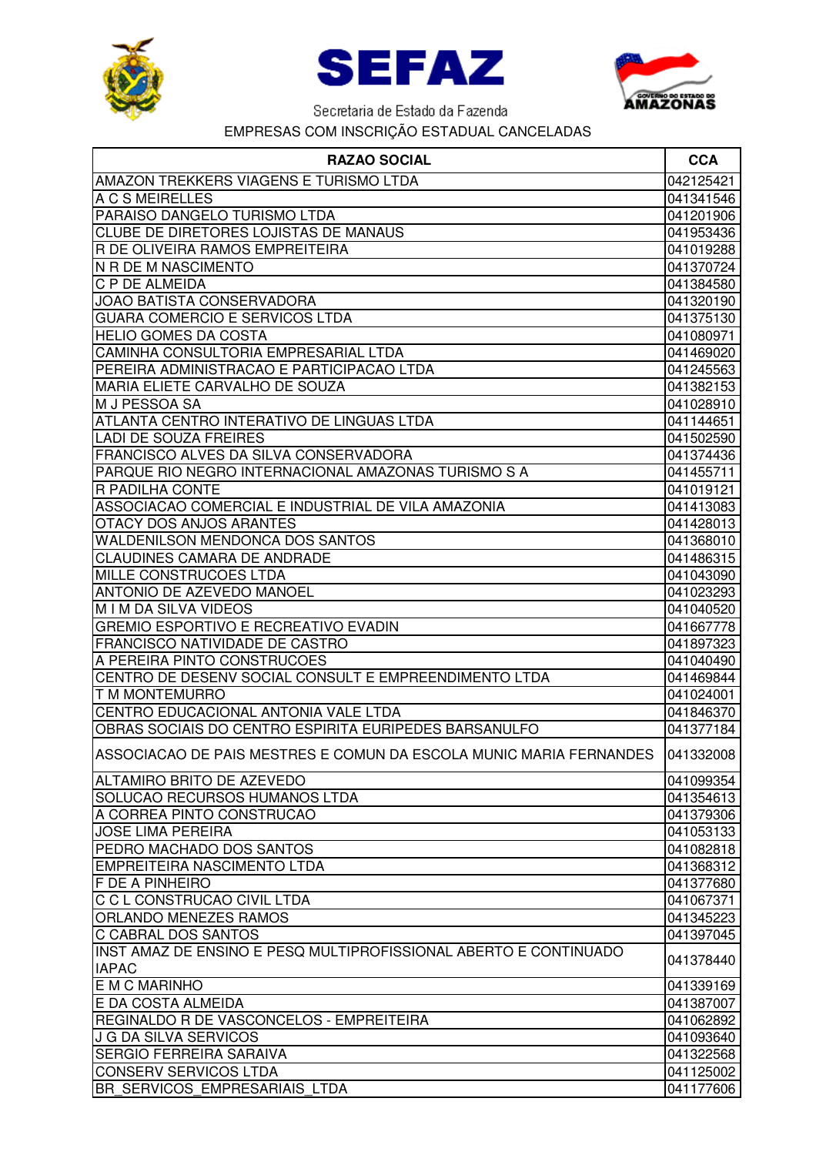





| <b>RAZAO SOCIAL</b>                                                              | <b>CCA</b> |
|----------------------------------------------------------------------------------|------------|
| <b>AMAZON TREKKERS VIAGENS E TURISMO LTDA</b>                                    | 042125421  |
| A C S MEIRELLES                                                                  | 041341546  |
| PARAISO DANGELO TURISMO LTDA                                                     | 041201906  |
| CLUBE DE DIRETORES LOJISTAS DE MANAUS                                            | 041953436  |
| R DE OLIVEIRA RAMOS EMPREITEIRA                                                  | 041019288  |
| N R DE M NASCIMENTO                                                              | 041370724  |
| C P DE ALMEIDA                                                                   | 041384580  |
| JOAO BATISTA CONSERVADORA                                                        | 041320190  |
| <b>GUARA COMERCIO E SERVICOS LTDA</b>                                            | 041375130  |
| <b>HELIO GOMES DA COSTA</b>                                                      | 041080971  |
| CAMINHA CONSULTORIA EMPRESARIAL LTDA                                             | 041469020  |
| PEREIRA ADMINISTRACAO E PARTICIPACAO LTDA                                        | 041245563  |
| MARIA ELIETE CARVALHO DE SOUZA                                                   | 041382153  |
| M J PESSOA SA                                                                    | 041028910  |
| ATLANTA CENTRO INTERATIVO DE LINGUAS LTDA                                        | 041144651  |
| <b>LADI DE SOUZA FREIRES</b>                                                     | 041502590  |
| FRANCISCO ALVES DA SILVA CONSERVADORA                                            | 041374436  |
| PARQUE RIO NEGRO INTERNACIONAL AMAZONAS TURISMO S A                              | 041455711  |
| <b>R PADILHA CONTE</b>                                                           | 041019121  |
| ASSOCIACAO COMERCIAL E INDUSTRIAL DE VILA AMAZONIA                               | 041413083  |
| OTACY DOS ANJOS ARANTES                                                          | 041428013  |
| <b>WALDENILSON MENDONCA DOS SANTOS</b>                                           | 041368010  |
| <b>CLAUDINES CAMARA DE ANDRADE</b>                                               | 041486315  |
| MILLE CONSTRUCOES LTDA                                                           | 041043090  |
| ANTONIO DE AZEVEDO MANOEL                                                        | 041023293  |
| M I M DA SILVA VIDEOS                                                            | 041040520  |
| <b>GREMIO ESPORTIVO E RECREATIVO EVADIN</b>                                      | 041667778  |
| FRANCISCO NATIVIDADE DE CASTRO                                                   | 041897323  |
| A PEREIRA PINTO CONSTRUCOES                                                      | 041040490  |
| CENTRO DE DESENV SOCIAL CONSULT E EMPREENDIMENTO LTDA                            | 041469844  |
| <b>T M MONTEMURRO</b>                                                            | 041024001  |
| CENTRO EDUCACIONAL ANTONIA VALE LTDA                                             | 041846370  |
| OBRAS SOCIAIS DO CENTRO ESPIRITA EURIPEDES BARSANULFO                            | 041377184  |
|                                                                                  |            |
| ASSOCIACAO DE PAIS MESTRES E COMUN DA ESCOLA MUNIC MARIA FERNANDES               | 041332008  |
| <b>ALTAMIRO BRITO DE AZEVEDO</b>                                                 | 041099354  |
| <b>SOLUCAO RECURSOS HUMANOS LTDA</b>                                             | 041354613  |
| A CORREA PINTO CONSTRUCAO                                                        | 041379306  |
| <b>JOSE LIMA PEREIRA</b>                                                         | 041053133  |
| PEDRO MACHADO DOS SANTOS                                                         | 041082818  |
| <b>EMPREITEIRA NASCIMENTO LTDA</b>                                               | 041368312  |
| <b>F DE A PINHEIRO</b>                                                           | 041377680  |
| C C L CONSTRUCAO CIVIL LTDA                                                      | 041067371  |
| <b>ORLANDO MENEZES RAMOS</b>                                                     | 041345223  |
| C CABRAL DOS SANTOS                                                              | 041397045  |
| INST AMAZ DE ENSINO E PESQ MULTIPROFISSIONAL ABERTO E CONTINUADO<br><b>IAPAC</b> | 041378440  |
| E M C MARINHO                                                                    | 041339169  |
| E DA COSTA ALMEIDA                                                               | 041387007  |
| REGINALDO R DE VASCONCELOS - EMPREITEIRA                                         | 041062892  |
| J G DA SILVA SERVICOS                                                            | 041093640  |
| <b>SERGIO FERREIRA SARAIVA</b>                                                   | 041322568  |
| <b>CONSERV SERVICOS LTDA</b>                                                     | 041125002  |
| <b>BR SERVICOS EMPRESARIAIS LTDA</b>                                             | 041177606  |
|                                                                                  |            |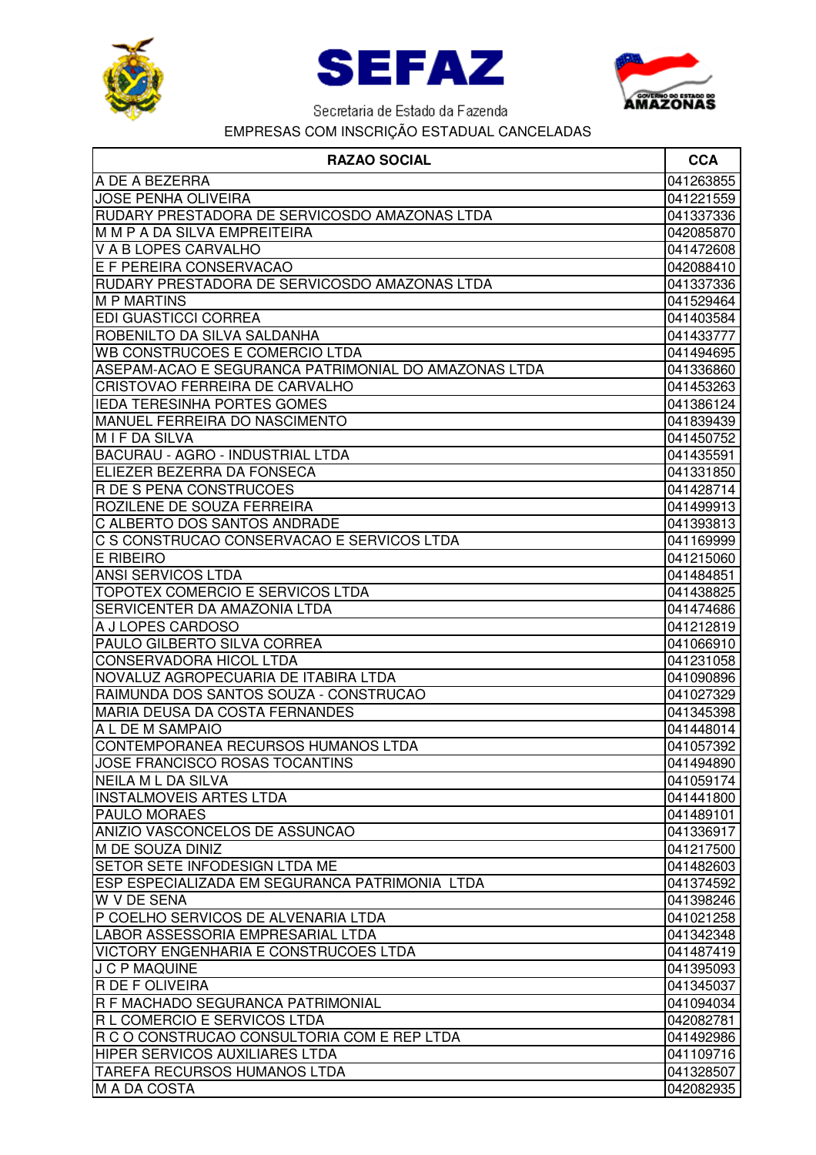





| <b>RAZAO SOCIAL</b>                                  | <b>CCA</b> |
|------------------------------------------------------|------------|
| A DE A BEZERRA                                       | 041263855  |
| <b>JOSE PENHA OLIVEIRA</b>                           | 041221559  |
| RUDARY PRESTADORA DE SERVICOSDO AMAZONAS LTDA        | 041337336  |
| M M P A DA SILVA EMPREITEIRA                         | 042085870  |
| V A B LOPES CARVALHO                                 | 041472608  |
| E F PEREIRA CONSERVACAO                              | 042088410  |
| RUDARY PRESTADORA DE SERVICOSDO AMAZONAS LTDA        | 041337336  |
| <b>M P MARTINS</b>                                   | 041529464  |
| <b>EDI GUASTICCI CORREA</b>                          | 041403584  |
| ROBENILTO DA SILVA SALDANHA                          | 041433777  |
| <b>WB CONSTRUCOES E COMERCIO LTDA</b>                | 041494695  |
| ASEPAM-ACAO E SEGURANCA PATRIMONIAL DO AMAZONAS LTDA | 041336860  |
| CRISTOVAO FERREIRA DE CARVALHO                       | 041453263  |
| <b>IEDA TERESINHA PORTES GOMES</b>                   | 041386124  |
| MANUEL FERREIRA DO NASCIMENTO                        | 041839439  |
| M I F DA SILVA                                       | 041450752  |
| BACURAU - AGRO - INDUSTRIAL LTDA                     | 041435591  |
| ELIEZER BEZERRA DA FONSECA                           | 041331850  |
| <b>R DE S PENA CONSTRUCOES</b>                       | 041428714  |
| ROZILENE DE SOUZA FERREIRA                           | 041499913  |
| C ALBERTO DOS SANTOS ANDRADE                         | 041393813  |
| C S CONSTRUCAO CONSERVACAO E SERVICOS LTDA           | 041169999  |
| E RIBEIRO                                            | 041215060  |
| <b>ANSI SERVICOS LTDA</b>                            | 041484851  |
| TOPOTEX COMERCIO E SERVICOS LTDA                     | 041438825  |
| <b>SERVICENTER DA AMAZONIA LTDA</b>                  | 041474686  |
| A J LOPES CARDOSO                                    | 041212819  |
| PAULO GILBERTO SILVA CORREA                          | 041066910  |
| <b>CONSERVADORA HICOL LTDA</b>                       | 041231058  |
| NOVALUZ AGROPECUARIA DE ITABIRA LTDA                 | 041090896  |
| RAIMUNDA DOS SANTOS SOUZA - CONSTRUCAO               | 041027329  |
| <b>MARIA DEUSA DA COSTA FERNANDES</b>                | 041345398  |
| A L DE M SAMPAIO                                     | 041448014  |
| CONTEMPORANEA RECURSOS HUMANOS LTDA                  | 041057392  |
| <b>JOSE FRANCISCO ROSAS TOCANTINS</b>                | 041494890  |
| NEILA M L DA SILVA                                   | 041059174  |
| IINSTALMOVEIS ARTES LTDA                             | 041441800  |
| <b>PAULO MORAES</b>                                  | 041489101  |
| ANIZIO VASCONCELOS DE ASSUNCAO                       | 041336917  |
| M DE SOUZA DINIZ                                     | 041217500  |
| <b>SETOR SETE INFODESIGN LTDA ME</b>                 | 041482603  |
| ESP ESPECIALIZADA EM SEGURANCA PATRIMONIA LTDA       | 041374592  |
| <b>W V DE SENA</b>                                   | 041398246  |
| P COELHO SERVICOS DE ALVENARIA LTDA                  | 041021258  |
| LABOR ASSESSORIA EMPRESARIAL LTDA                    | 041342348  |
| VICTORY ENGENHARIA E CONSTRUCOES LTDA                | 041487419  |
| <b>J C P MAQUINE</b>                                 | 041395093  |
| <b>R DE F OLIVEIRA</b>                               | 041345037  |
| R F MACHADO SEGURANCA PATRIMONIAL                    | 041094034  |
| R L COMERCIO E SERVICOS LTDA                         | 042082781  |
| R C O CONSTRUCAO CONSULTORIA COM E REP LTDA          | 041492986  |
| <b>HIPER SERVICOS AUXILIARES LTDA</b>                | 041109716  |
| <b>TAREFA RECURSOS HUMANOS LTDA</b>                  | 041328507  |
| M A DA COSTA                                         | 042082935  |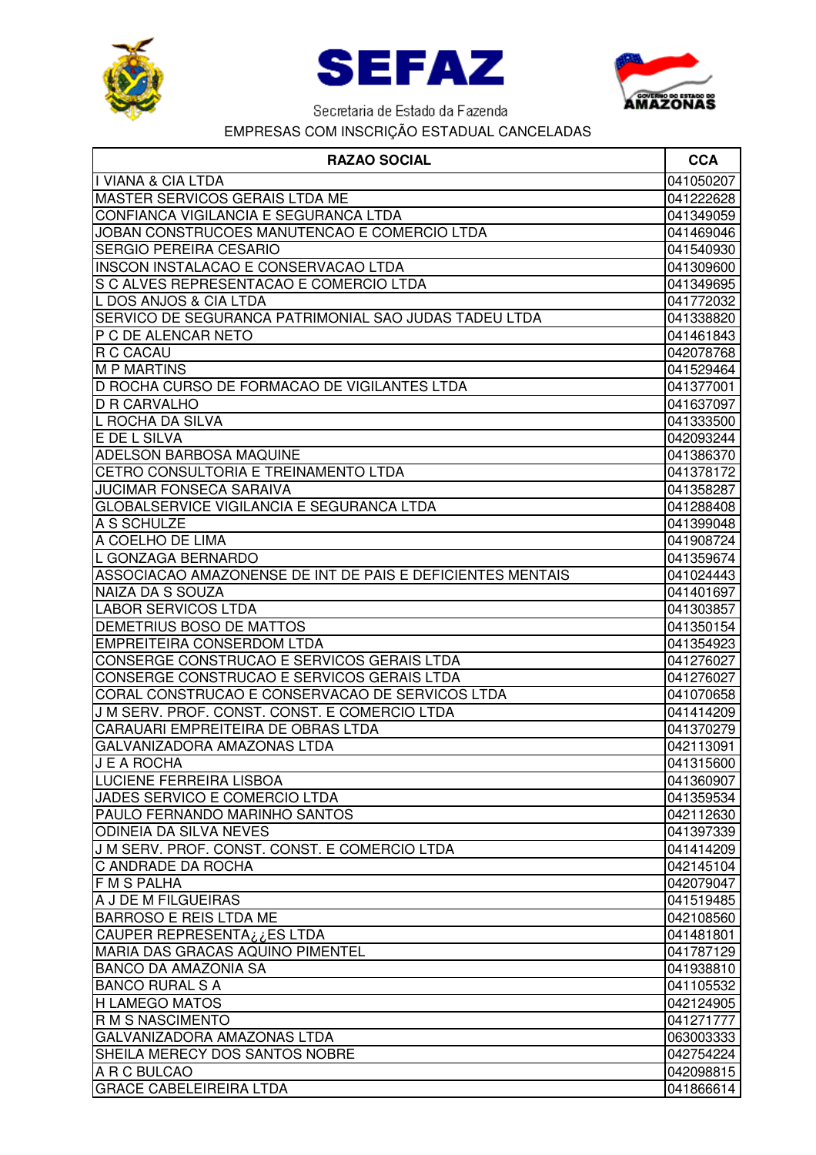





| <b>RAZAO SOCIAL</b>                                        | <b>CCA</b>             |
|------------------------------------------------------------|------------------------|
| I VIANA & CIA LTDA                                         | 041050207              |
| MASTER SERVICOS GERAIS LTDA ME                             | 041222628              |
| CONFIANCA VIGILANCIA E SEGURANCA LTDA                      | 041349059              |
| JOBAN CONSTRUCOES MANUTENCAO E COMERCIO LTDA               | 041469046              |
| <b>SERGIO PEREIRA CESARIO</b>                              | 041540930              |
| <b>INSCON INSTALACAO E CONSERVACAO LTDA</b>                | 041309600              |
| S C ALVES REPRESENTACAO E COMERCIO LTDA                    | 041349695              |
| L DOS ANJOS & CIA LTDA                                     | 041772032              |
| SERVICO DE SEGURANCA PATRIMONIAL SAO JUDAS TADEU LTDA      | 041338820              |
| P C DE ALENCAR NETO                                        | 041461843              |
| R C CACAU                                                  | 042078768              |
| <b>M P MARTINS</b>                                         | 041529464              |
| D ROCHA CURSO DE FORMACAO DE VIGILANTES LTDA               | 041377001              |
| <b>D R CARVALHO</b>                                        | 041637097              |
| L ROCHA DA SILVA                                           | 041333500              |
| E DE L SILVA                                               | 042093244              |
| ADELSON BARBOSA MAQUINE                                    | 041386370              |
| CETRO CONSULTORIA E TREINAMENTO LTDA                       | 041378172              |
| <b>JUCIMAR FONSECA SARAIVA</b>                             | 041358287              |
| GLOBALSERVICE VIGILANCIA E SEGURANCA LTDA                  | 041288408              |
| A S SCHULZE                                                | 041399048              |
| A COELHO DE LIMA                                           | 041908724              |
| IL GONZAGA BERNARDO                                        | 041359674              |
| ASSOCIACAO AMAZONENSE DE INT DE PAIS E DEFICIENTES MENTAIS | 041024443              |
| NAIZA DA S SOUZA                                           | 041401697              |
| <b>LABOR SERVICOS LTDA</b>                                 | 041303857              |
| DEMETRIUS BOSO DE MATTOS                                   | 041350154              |
| EMPREITEIRA CONSERDOM LTDA                                 | 041354923              |
| CONSERGE CONSTRUCAO E SERVICOS GERAIS LTDA                 | 041276027              |
| CONSERGE CONSTRUCAO E SERVICOS GERAIS LTDA                 | 041276027              |
| CORAL CONSTRUCAO E CONSERVACAO DE SERVICOS LTDA            | 041070658              |
| J M SERV. PROF. CONST. CONST. E COMERCIO LTDA              | 041414209              |
| CARAUARI EMPREITEIRA DE OBRAS LTDA                         | 041370279              |
| GALVANIZADORA AMAZONAS LTDA                                | 042113091              |
| <b>J E A ROCHA</b>                                         | 041315600              |
| <b>LUCIENE FERREIRA LISBOA</b>                             | 041360907              |
| JADES SERVICO E COMERCIO LTDA                              | 041359534              |
| PAULO FERNANDO MARINHO SANTOS                              | 042112630              |
| <b>ODINEIA DA SILVA NEVES</b>                              | 041397339              |
| J M SERV. PROF. CONST. CONST. E COMERCIO LTDA              | 041414209              |
| C ANDRADE DA ROCHA                                         | 042145104              |
| <b>FMSPALHA</b>                                            | 042079047              |
| A J DE M FILGUEIRAS                                        | 041519485              |
| <b>BARROSO E REIS LTDA ME</b>                              | 042108560              |
| CAUPER REPRESENTA¿¿ES LTDA                                 | 041481801              |
| MARIA DAS GRACAS AQUINO PIMENTEL                           | 041787129              |
| <b>BANCO DA AMAZONIA SA</b>                                | 041938810              |
| <b>BANCO RURAL S A</b>                                     | 041105532              |
| <b>H LAMEGO MATOS</b>                                      | 042124905              |
| <b>R M S NASCIMENTO</b>                                    |                        |
| GALVANIZADORA AMAZONAS LTDA                                | 041271777              |
| SHEILA MERECY DOS SANTOS NOBRE                             | 063003333              |
| A R C BULCAO                                               | 042754224<br>042098815 |
| <b>GRACE CABELEIREIRA LTDA</b>                             |                        |
|                                                            | 041866614              |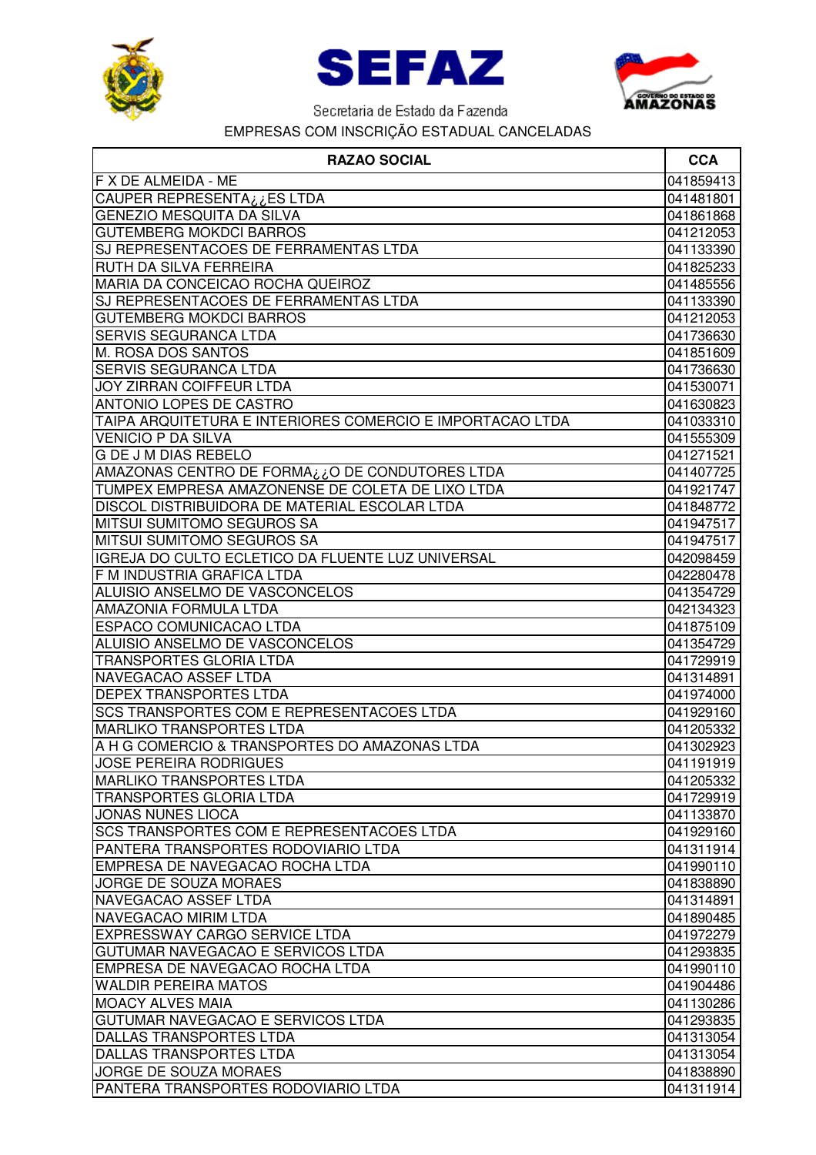





| <b>RAZAO SOCIAL</b>                                       | <b>CCA</b> |
|-----------------------------------------------------------|------------|
| F X DE ALMEIDA - ME                                       | 041859413  |
| CAUPER REPRESENTA¿¿ES LTDA                                | 041481801  |
| <b>GENEZIO MESQUITA DA SILVA</b>                          | 041861868  |
| <b>GUTEMBERG MOKDCI BARROS</b>                            | 041212053  |
| SJ REPRESENTACOES DE FERRAMENTAS LTDA                     | 041133390  |
| RUTH DA SILVA FERREIRA                                    | 041825233  |
| MARIA DA CONCEICAO ROCHA QUEIROZ                          | 041485556  |
| SJ REPRESENTACOES DE FERRAMENTAS LTDA                     | 041133390  |
| <b>GUTEMBERG MOKDCI BARROS</b>                            | 041212053  |
| <b>SERVIS SEGURANCA LTDA</b>                              | 041736630  |
| M. ROSA DOS SANTOS                                        | 041851609  |
| <b>SERVIS SEGURANCA LTDA</b>                              | 041736630  |
| <b>JOY ZIRRAN COIFFEUR LTDA</b>                           | 041530071  |
| ANTONIO LOPES DE CASTRO                                   | 041630823  |
| TAIPA ARQUITETURA E INTERIORES COMERCIO E IMPORTACAO LTDA | 041033310  |
| <b>VENICIO P DA SILVA</b>                                 | 041555309  |
| <b>G DE J M DIAS REBELO</b>                               | 041271521  |
| AMAZONAS CENTRO DE FORMA¿¿O DE CONDUTORES LTDA            | 041407725  |
| TUMPEX EMPRESA AMAZONENSE DE COLETA DE LIXO LTDA          | 041921747  |
| DISCOL DISTRIBUIDORA DE MATERIAL ESCOLAR LTDA             | 041848772  |
| <b>MITSUI SUMITOMO SEGUROS SA</b>                         | 041947517  |
| MITSUI SUMITOMO SEGUROS SA                                | 041947517  |
| IGREJA DO CULTO ECLETICO DA FLUENTE LUZ UNIVERSAL         | 042098459  |
| F M INDUSTRIA GRAFICA LTDA                                | 042280478  |
| ALUISIO ANSELMO DE VASCONCELOS                            | 041354729  |
| AMAZONIA FORMULA LTDA                                     | 042134323  |
| ESPACO COMUNICACAO LTDA                                   | 041875109  |
| ALUISIO ANSELMO DE VASCONCELOS                            | 041354729  |
| <b>TRANSPORTES GLORIA LTDA</b>                            | 041729919  |
| NAVEGACAO ASSEF LTDA                                      | 041314891  |
| <b>DEPEX TRANSPORTES LTDA</b>                             | 041974000  |
| <b>SCS TRANSPORTES COM E REPRESENTACOES LTDA</b>          | 041929160  |
| <b>MARLIKO TRANSPORTES LTDA</b>                           | 041205332  |
| A H G COMERCIO & TRANSPORTES DO AMAZONAS LTDA             | 041302923  |
| <b>JOSE PEREIRA RODRIGUES</b>                             | 041191919  |
| <b>MARLIKO TRANSPORTES LTDA</b>                           | 041205332  |
| <b>TRANSPORTES GLORIA LTDA</b>                            | 041729919  |
| <b>JONAS NUNES LIOCA</b>                                  | 041133870  |
| <b>SCS TRANSPORTES COM E REPRESENTACOES LTDA</b>          | 041929160  |
| PANTERA TRANSPORTES RODOVIARIO LTDA                       | 041311914  |
| EMPRESA DE NAVEGACAO ROCHA LTDA                           | 041990110  |
| <b>JORGE DE SOUZA MORAES</b>                              | 041838890  |
| NAVEGACAO ASSEF LTDA                                      | 041314891  |
| NAVEGACAO MIRIM LTDA                                      | 041890485  |
| <b>EXPRESSWAY CARGO SERVICE LTDA</b>                      | 041972279  |
| GUTUMAR NAVEGACAO E SERVICOS LTDA                         | 041293835  |
| EMPRESA DE NAVEGACAO ROCHA LTDA                           | 041990110  |
| <b>WALDIR PEREIRA MATOS</b>                               | 041904486  |
| <b>MOACY ALVES MAIA</b>                                   | 041130286  |
| GUTUMAR NAVEGACAO E SERVICOS LTDA                         | 041293835  |
| DALLAS TRANSPORTES LTDA                                   | 041313054  |
| DALLAS TRANSPORTES LTDA                                   | 041313054  |
| JORGE DE SOUZA MORAES                                     | 041838890  |
| PANTERA TRANSPORTES RODOVIARIO LTDA                       | 041311914  |